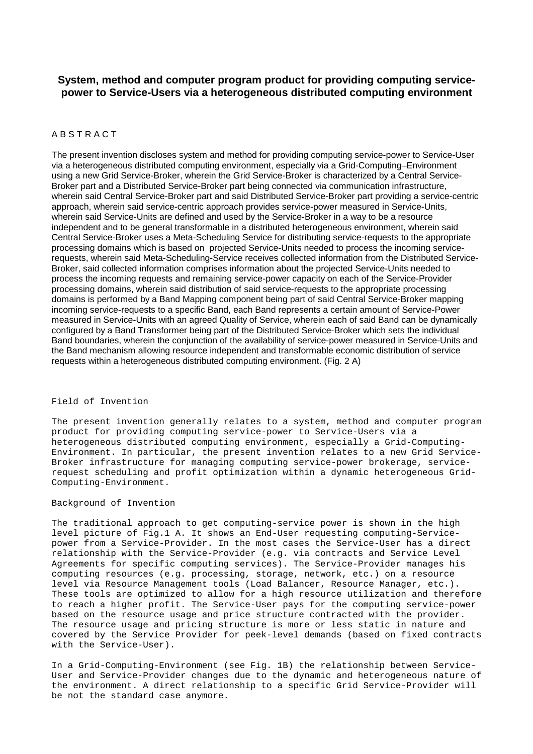## **System, method and computer program product for providing computing servicepower to Service-Users via a heterogeneous distributed computing environment**

## A B S T R A C T

The present invention discloses system and method for providing computing service-power to Service-User via a heterogeneous distributed computing environment, especially via a Grid-Computing–Environment using a new Grid Service-Broker, wherein the Grid Service-Broker is characterized by a Central Service-Broker part and a Distributed Service-Broker part being connected via communication infrastructure, wherein said Central Service-Broker part and said Distributed Service-Broker part providing a service-centric approach, wherein said service-centric approach provides service-power measured in Service-Units, wherein said Service-Units are defined and used by the Service-Broker in a way to be a resource independent and to be general transformable in a distributed heterogeneous environment, wherein said Central Service-Broker uses a Meta-Scheduling Service for distributing service-requests to the appropriate processing domains which is based on projected Service-Units needed to process the incoming servicerequests, wherein said Meta-Scheduling-Service receives collected information from the Distributed Service-Broker, said collected information comprises information about the projected Service-Units needed to process the incoming requests and remaining service-power capacity on each of the Service-Provider processing domains, wherein said distribution of said service-requests to the appropriate processing domains is performed by a Band Mapping component being part of said Central Service-Broker mapping incoming service-requests to a specific Band, each Band represents a certain amount of Service-Power measured in Service-Units with an agreed Quality of Service, wherein each of said Band can be dynamically configured by a Band Transformer being part of the Distributed Service-Broker which sets the individual Band boundaries, wherein the conjunction of the availability of service-power measured in Service-Units and the Band mechanism allowing resource independent and transformable economic distribution of service requests within a heterogeneous distributed computing environment. (Fig. 2 A)

## Field of Invention

The present invention generally relates to a system, method and computer program product for providing computing service-power to Service-Users via a heterogeneous distributed computing environment, especially a Grid-Computing-Environment. In particular, the present invention relates to a new Grid Service-Broker infrastructure for managing computing service-power brokerage, servicerequest scheduling and profit optimization within a dynamic heterogeneous Grid-Computing-Environment.

## Background of Invention

The traditional approach to get computing-service power is shown in the high level picture of Fig.1 A. It shows an End-User requesting computing-Servicepower from a Service-Provider. In the most cases the Service-User has a direct relationship with the Service-Provider (e.g. via contracts and Service Level Agreements for specific computing services). The Service-Provider manages his computing resources (e.g. processing, storage, network, etc.) on a resource level via Resource Management tools (Load Balancer, Resource Manager, etc.). These tools are optimized to allow for a high resource utilization and therefore to reach a higher profit. The Service-User pays for the computing service-power based on the resource usage and price structure contracted with the provider. The resource usage and pricing structure is more or less static in nature and covered by the Service Provider for peek-level demands (based on fixed contracts with the Service-User).

In a Grid-Computing-Environment (see Fig. 1B) the relationship between Service-User and Service-Provider changes due to the dynamic and heterogeneous nature of the environment. A direct relationship to a specific Grid Service-Provider will be not the standard case anymore.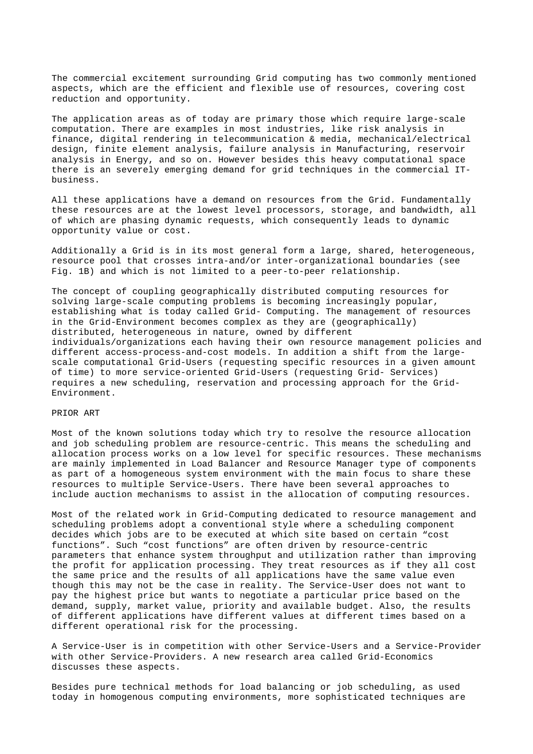The commercial excitement surrounding Grid computing has two commonly mentioned aspects, which are the efficient and flexible use of resources, covering cost reduction and opportunity.

The application areas as of today are primary those which require large-scale computation. There are examples in most industries, like risk analysis in finance, digital rendering in telecommunication & media, mechanical/electrical design, finite element analysis, failure analysis in Manufacturing, reservoir analysis in Energy, and so on. However besides this heavy computational space there is an severely emerging demand for grid techniques in the commercial ITbusiness.

All these applications have a demand on resources from the Grid. Fundamentally these resources are at the lowest level processors, storage, and bandwidth, all of which are phasing dynamic requests, which consequently leads to dynamic opportunity value or cost.

Additionally a Grid is in its most general form a large, shared, heterogeneous, resource pool that crosses intra-and/or inter-organizational boundaries (see Fig. 1B) and which is not limited to a peer-to-peer relationship.

The concept of coupling geographically distributed computing resources for solving large-scale computing problems is becoming increasingly popular, establishing what is today called Grid- Computing. The management of resources in the Grid-Environment becomes complex as they are (geographically) distributed, heterogeneous in nature, owned by different individuals/organizations each having their own resource management policies and different access-process-and-cost models. In addition a shift from the largescale computational Grid-Users (requesting specific resources in a given amount of time) to more service-oriented Grid-Users (requesting Grid- Services) requires a new scheduling, reservation and processing approach for the Grid-Environment.

#### PRIOR ART

Most of the known solutions today which try to resolve the resource allocation and job scheduling problem are resource-centric. This means the scheduling and allocation process works on a low level for specific resources. These mechanisms are mainly implemented in Load Balancer and Resource Manager type of components as part of a homogeneous system environment with the main focus to share these resources to multiple Service-Users. There have been several approaches to include auction mechanisms to assist in the allocation of computing resources.

Most of the related work in Grid-Computing dedicated to resource management and scheduling problems adopt a conventional style where a scheduling component decides which jobs are to be executed at which site based on certain "cost functions". Such "cost functions" are often driven by resource-centric parameters that enhance system throughput and utilization rather than improving the profit for application processing. They treat resources as if they all cost the same price and the results of all applications have the same value even though this may not be the case in reality. The Service-User does not want to pay the highest price but wants to negotiate a particular price based on the demand, supply, market value, priority and available budget. Also, the results of different applications have different values at different times based on a different operational risk for the processing.

A Service-User is in competition with other Service-Users and a Service-Provider with other Service-Providers. A new research area called Grid-Economics discusses these aspects.

Besides pure technical methods for load balancing or job scheduling, as used today in homogenous computing environments, more sophisticated techniques are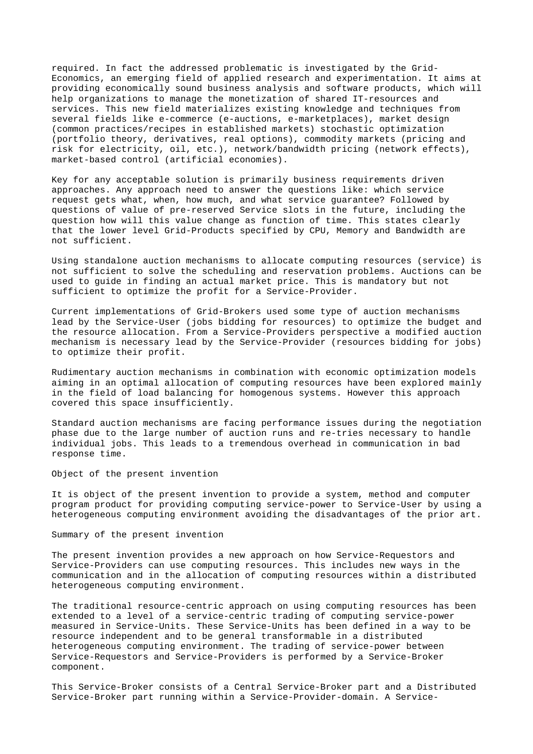required. In fact the addressed problematic is investigated by the Grid-Economics, an emerging field of applied research and experimentation. It aims at providing economically sound business analysis and software products, which will help organizations to manage the monetization of shared IT-resources and services. This new field materializes existing knowledge and techniques from several fields like e-commerce (e-auctions, e-marketplaces), market design (common practices/recipes in established markets) stochastic optimization (portfolio theory, derivatives, real options), commodity markets (pricing and risk for electricity, oil, etc.), network/bandwidth pricing (network effects), market-based control (artificial economies).

Key for any acceptable solution is primarily business requirements driven approaches. Any approach need to answer the questions like: which service request gets what, when, how much, and what service guarantee? Followed by questions of value of pre-reserved Service slots in the future, including the question how will this value change as function of time. This states clearly that the lower level Grid-Products specified by CPU, Memory and Bandwidth are not sufficient.

Using standalone auction mechanisms to allocate computing resources (service) is not sufficient to solve the scheduling and reservation problems. Auctions can be used to guide in finding an actual market price. This is mandatory but not sufficient to optimize the profit for a Service-Provider.

Current implementations of Grid-Brokers used some type of auction mechanisms lead by the Service-User (jobs bidding for resources) to optimize the budget and the resource allocation. From a Service-Providers perspective a modified auction mechanism is necessary lead by the Service-Provider (resources bidding for jobs) to optimize their profit.

Rudimentary auction mechanisms in combination with economic optimization models aiming in an optimal allocation of computing resources have been explored mainly in the field of load balancing for homogenous systems. However this approach covered this space insufficiently.

Standard auction mechanisms are facing performance issues during the negotiation phase due to the large number of auction runs and re-tries necessary to handle individual jobs. This leads to a tremendous overhead in communication in bad response time.

Object of the present invention

It is object of the present invention to provide a system, method and computer program product for providing computing service-power to Service-User by using a heterogeneous computing environment avoiding the disadvantages of the prior art.

Summary of the present invention

The present invention provides a new approach on how Service-Requestors and Service-Providers can use computing resources. This includes new ways in the communication and in the allocation of computing resources within a distributed heterogeneous computing environment.

The traditional resource-centric approach on using computing resources has been extended to a level of a service-centric trading of computing service-power measured in Service-Units. These Service-Units has been defined in a way to be resource independent and to be general transformable in a distributed heterogeneous computing environment. The trading of service-power between Service-Requestors and Service-Providers is performed by a Service-Broker component.

This Service-Broker consists of a Central Service-Broker part and a Distributed Service-Broker part running within a Service-Provider-domain. A Service-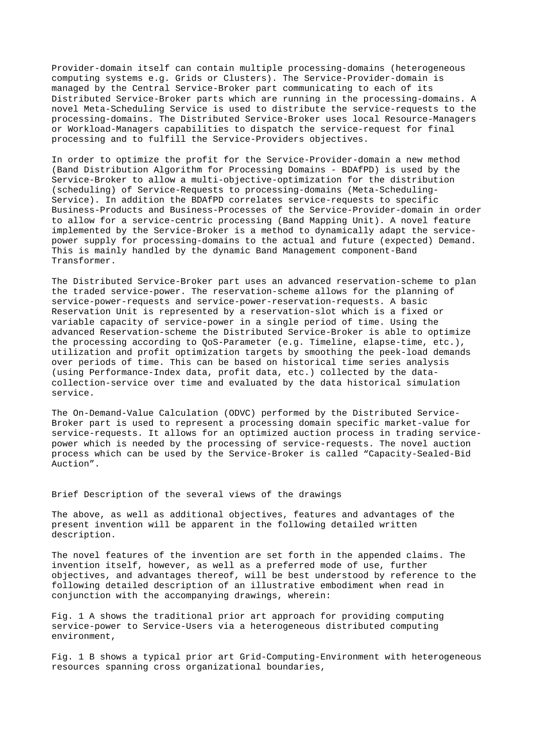Provider-domain itself can contain multiple processing-domains (heterogeneous computing systems e.g. Grids or Clusters). The Service-Provider-domain is managed by the Central Service-Broker part communicating to each of its Distributed Service-Broker parts which are running in the processing-domains. A novel Meta-Scheduling Service is used to distribute the service-requests to the processing-domains. The Distributed Service-Broker uses local Resource-Managers or Workload-Managers capabilities to dispatch the service-request for final processing and to fulfill the Service-Providers objectives.

In order to optimize the profit for the Service-Provider-domain a new method (Band Distribution Algorithm for Processing Domains - BDAfPD) is used by the Service-Broker to allow a multi-objective-optimization for the distribution (scheduling) of Service-Requests to processing-domains (Meta-Scheduling-Service). In addition the BDAfPD correlates service-requests to specific Business-Products and Business-Processes of the Service-Provider-domain in order to allow for a service-centric processing (Band Mapping Unit). A novel feature implemented by the Service-Broker is a method to dynamically adapt the servicepower supply for processing-domains to the actual and future (expected) Demand. This is mainly handled by the dynamic Band Management component-Band Transformer.

The Distributed Service-Broker part uses an advanced reservation-scheme to plan the traded service-power. The reservation-scheme allows for the planning of service-power-requests and service-power-reservation-requests. A basic Reservation Unit is represented by a reservation-slot which is a fixed or variable capacity of service-power in a single period of time. Using the advanced Reservation-scheme the Distributed Service-Broker is able to optimize the processing according to QoS-Parameter (e.g. Timeline, elapse-time, etc.), utilization and profit optimization targets by smoothing the peek-load demands over periods of time. This can be based on historical time series analysis (using Performance-Index data, profit data, etc.) collected by the datacollection-service over time and evaluated by the data historical simulation service.

The On-Demand-Value Calculation (ODVC) performed by the Distributed Service-Broker part is used to represent a processing domain specific market-value for service-requests. It allows for an optimized auction process in trading servicepower which is needed by the processing of service-requests. The novel auction process which can be used by the Service-Broker is called "Capacity-Sealed-Bid Auction".

Brief Description of the several views of the drawings

The above, as well as additional objectives, features and advantages of the present invention will be apparent in the following detailed written description.

The novel features of the invention are set forth in the appended claims. The invention itself, however, as well as a preferred mode of use, further objectives, and advantages thereof, will be best understood by reference to the following detailed description of an illustrative embodiment when read in conjunction with the accompanying drawings, wherein:

Fig. 1 A shows the traditional prior art approach for providing computing service-power to Service-Users via a heterogeneous distributed computing environment,

Fig. 1 B shows a typical prior art Grid-Computing-Environment with heterogeneous resources spanning cross organizational boundaries,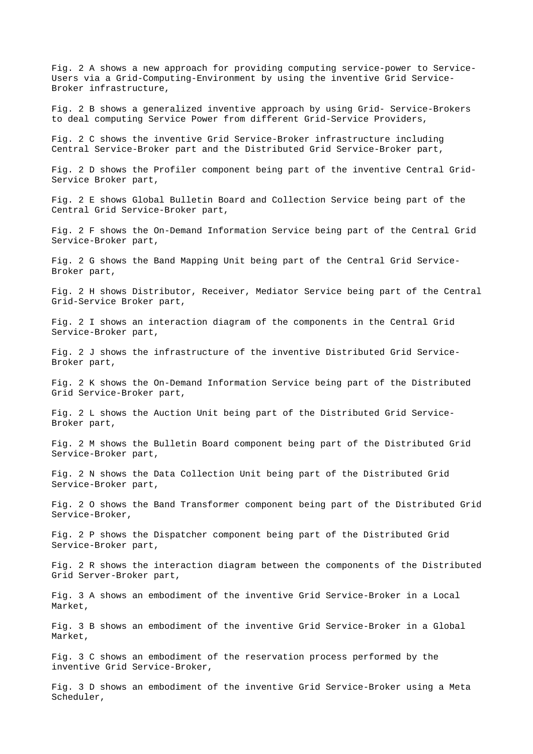Fig. 2 A shows a new approach for providing computing service-power to Service-Users via a Grid-Computing-Environment by using the inventive Grid Service-Broker infrastructure,

Fig. 2 B shows a generalized inventive approach by using Grid- Service-Brokers to deal computing Service Power from different Grid-Service Providers,

Fig. 2 C shows the inventive Grid Service-Broker infrastructure including Central Service-Broker part and the Distributed Grid Service-Broker part,

Fig. 2 D shows the Profiler component being part of the inventive Central Grid-Service Broker part,

Fig. 2 E shows Global Bulletin Board and Collection Service being part of the Central Grid Service-Broker part,

Fig. 2 F shows the On-Demand Information Service being part of the Central Grid Service-Broker part,

Fig. 2 G shows the Band Mapping Unit being part of the Central Grid Service-Broker part,

Fig. 2 H shows Distributor, Receiver, Mediator Service being part of the Central Grid-Service Broker part,

Fig. 2 I shows an interaction diagram of the components in the Central Grid Service-Broker part,

Fig. 2 J shows the infrastructure of the inventive Distributed Grid Service-Broker part,

Fig. 2 K shows the On-Demand Information Service being part of the Distributed Grid Service-Broker part,

Fig. 2 L shows the Auction Unit being part of the Distributed Grid Service-Broker part,

Fig. 2 M shows the Bulletin Board component being part of the Distributed Grid Service-Broker part,

Fig. 2 N shows the Data Collection Unit being part of the Distributed Grid Service-Broker part,

Fig. 2 O shows the Band Transformer component being part of the Distributed Grid Service-Broker,

Fig. 2 P shows the Dispatcher component being part of the Distributed Grid Service-Broker part,

Fig. 2 R shows the interaction diagram between the components of the Distributed Grid Server-Broker part,

Fig. 3 A shows an embodiment of the inventive Grid Service-Broker in a Local Market,

Fig. 3 B shows an embodiment of the inventive Grid Service-Broker in a Global Market,

Fig. 3 C shows an embodiment of the reservation process performed by the inventive Grid Service-Broker,

Fig. 3 D shows an embodiment of the inventive Grid Service-Broker using a Meta Scheduler,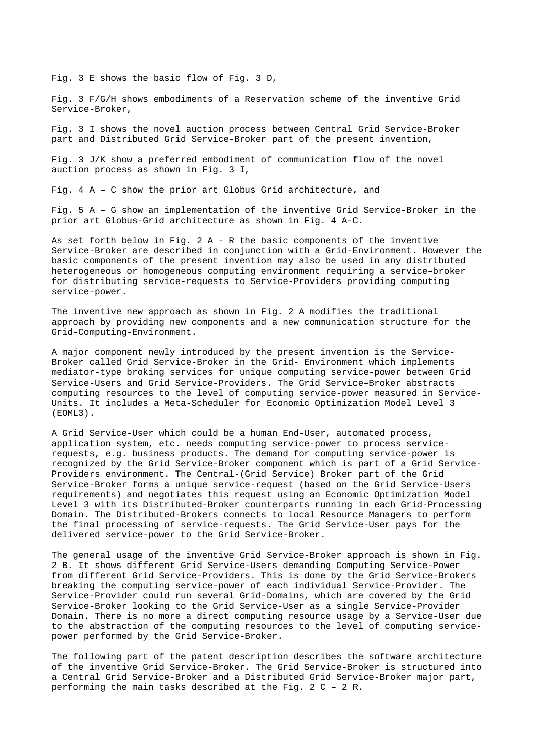Fig. 3 E shows the basic flow of Fig. 3 D,

Fig. 3 F/G/H shows embodiments of a Reservation scheme of the inventive Grid Service-Broker,

Fig. 3 I shows the novel auction process between Central Grid Service-Broker part and Distributed Grid Service-Broker part of the present invention,

Fig. 3 J/K show a preferred embodiment of communication flow of the novel auction process as shown in Fig. 3 I,

Fig. 4 A – C show the prior art Globus Grid architecture, and

Fig. 5 A – G show an implementation of the inventive Grid Service-Broker in the prior art Globus-Grid architecture as shown in Fig. 4 A-C.

As set forth below in Fig. 2 A - R the basic components of the inventive Service-Broker are described in conjunction with a Grid-Environment. However the basic components of the present invention may also be used in any distributed heterogeneous or homogeneous computing environment requiring a service–broker for distributing service-requests to Service-Providers providing computing service-power.

The inventive new approach as shown in Fig. 2 A modifies the traditional approach by providing new components and a new communication structure for the Grid-Computing-Environment.

A major component newly introduced by the present invention is the Service-Broker called Grid Service-Broker in the Grid- Environment which implements mediator-type broking services for unique computing service-power between Grid Service-Users and Grid Service-Providers. The Grid Service–Broker abstracts computing resources to the level of computing service-power measured in Service-Units. It includes a Meta-Scheduler for Economic Optimization Model Level 3 (EOML3).

A Grid Service-User which could be a human End-User, automated process, application system, etc. needs computing service-power to process servicerequests, e.g. business products. The demand for computing service-power is recognized by the Grid Service-Broker component which is part of a Grid Service-Providers environment. The Central-(Grid Service) Broker part of the Grid Service-Broker forms a unique service-request (based on the Grid Service-Users requirements) and negotiates this request using an Economic Optimization Model Level 3 with its Distributed-Broker counterparts running in each Grid-Processing Domain. The Distributed-Brokers connects to local Resource Managers to perform the final processing of service-requests. The Grid Service-User pays for the delivered service-power to the Grid Service-Broker.

The general usage of the inventive Grid Service-Broker approach is shown in Fig. 2 B. It shows different Grid Service-Users demanding Computing Service-Power from different Grid Service-Providers. This is done by the Grid Service-Brokers breaking the computing service-power of each individual Service-Provider. The Service-Provider could run several Grid-Domains, which are covered by the Grid Service-Broker looking to the Grid Service-User as a single Service-Provider Domain. There is no more a direct computing resource usage by a Service-User due to the abstraction of the computing resources to the level of computing servicepower performed by the Grid Service-Broker.

The following part of the patent description describes the software architecture of the inventive Grid Service-Broker. The Grid Service-Broker is structured into a Central Grid Service-Broker and a Distributed Grid Service-Broker major part, performing the main tasks described at the Fig. 2 C – 2 R.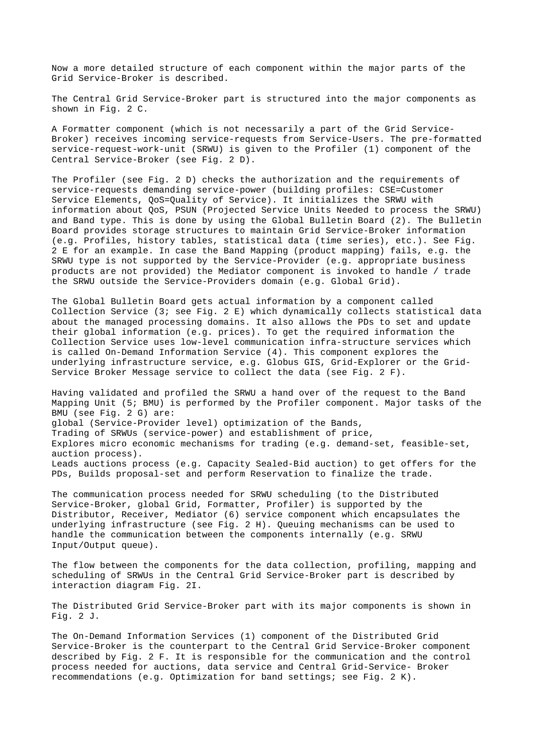Now a more detailed structure of each component within the major parts of the Grid Service-Broker is described.

The Central Grid Service-Broker part is structured into the major components as shown in Fig. 2 C.

A Formatter component (which is not necessarily a part of the Grid Service-Broker) receives incoming service-requests from Service-Users. The pre-formatted service-request-work-unit (SRWU) is given to the Profiler (1) component of the Central Service-Broker (see Fig. 2 D).

The Profiler (see Fig. 2 D) checks the authorization and the requirements of service-requests demanding service-power (building profiles: CSE=Customer Service Elements, QoS=Quality of Service). It initializes the SRWU with information about QoS, PSUN (Projected Service Units Needed to process the SRWU) and Band type. This is done by using the Global Bulletin Board (2). The Bulletin Board provides storage structures to maintain Grid Service-Broker information (e.g. Profiles, history tables, statistical data (time series), etc.). See Fig. 2 E for an example. In case the Band Mapping (product mapping) fails, e.g. the SRWU type is not supported by the Service-Provider (e.g. appropriate business products are not provided) the Mediator component is invoked to handle / trade the SRWU outside the Service-Providers domain (e.g. Global Grid).

The Global Bulletin Board gets actual information by a component called Collection Service (3; see Fig. 2 E) which dynamically collects statistical data about the managed processing domains. It also allows the PDs to set and update their global information (e.g. prices). To get the required information the Collection Service uses low-level communication infra-structure services which is called On-Demand Information Service (4). This component explores the underlying infrastructure service, e.g. Globus GIS, Grid-Explorer or the Grid-Service Broker Message service to collect the data (see Fig. 2 F).

Having validated and profiled the SRWU a hand over of the request to the Band Mapping Unit (5; BMU) is performed by the Profiler component. Major tasks of the BMU (see Fig. 2 G) are: global (Service-Provider level) optimization of the Bands, Trading of SRWUs (service-power) and establishment of price, Explores micro economic mechanisms for trading (e.g. demand-set, feasible-set, auction process). Leads auctions process (e.g. Capacity Sealed-Bid auction) to get offers for the PDs, Builds proposal-set and perform Reservation to finalize the trade.

The communication process needed for SRWU scheduling (to the Distributed Service-Broker, global Grid, Formatter, Profiler) is supported by the Distributor, Receiver, Mediator (6) service component which encapsulates the underlying infrastructure (see Fig. 2 H). Queuing mechanisms can be used to handle the communication between the components internally (e.g. SRWU Input/Output queue).

The flow between the components for the data collection, profiling, mapping and scheduling of SRWUs in the Central Grid Service-Broker part is described by interaction diagram Fig. 2I.

The Distributed Grid Service-Broker part with its major components is shown in Fig. 2 J.

The On-Demand Information Services (1) component of the Distributed Grid Service-Broker is the counterpart to the Central Grid Service-Broker component described by Fig. 2 F. It is responsible for the communication and the control process needed for auctions, data service and Central Grid-Service- Broker recommendations (e.g. Optimization for band settings; see Fig. 2 K).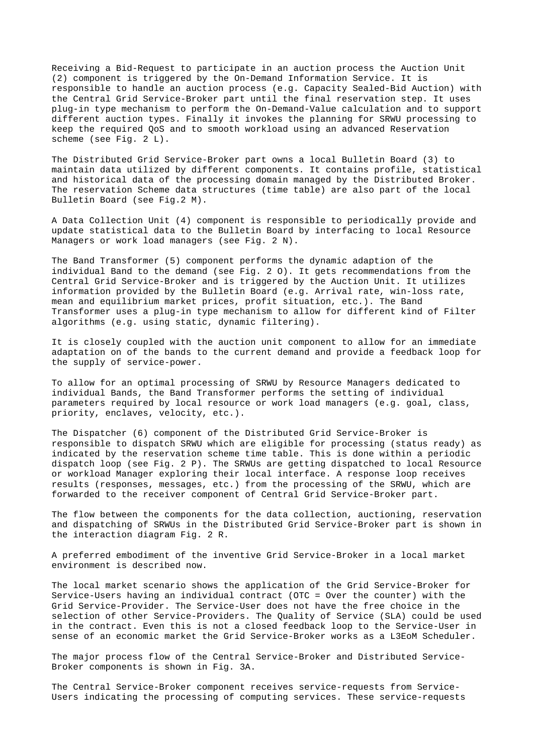Receiving a Bid-Request to participate in an auction process the Auction Unit (2) component is triggered by the On-Demand Information Service. It is responsible to handle an auction process (e.g. Capacity Sealed-Bid Auction) with the Central Grid Service-Broker part until the final reservation step. It uses plug-in type mechanism to perform the On-Demand-Value calculation and to support different auction types. Finally it invokes the planning for SRWU processing to keep the required QoS and to smooth workload using an advanced Reservation scheme (see Fig. 2 L).

The Distributed Grid Service-Broker part owns a local Bulletin Board (3) to maintain data utilized by different components. It contains profile, statistical and historical data of the processing domain managed by the Distributed Broker. The reservation Scheme data structures (time table) are also part of the local Bulletin Board (see Fig.2 M).

A Data Collection Unit (4) component is responsible to periodically provide and update statistical data to the Bulletin Board by interfacing to local Resource Managers or work load managers (see Fig. 2 N).

The Band Transformer (5) component performs the dynamic adaption of the individual Band to the demand (see Fig. 2 O). It gets recommendations from the Central Grid Service-Broker and is triggered by the Auction Unit. It utilizes information provided by the Bulletin Board (e.g. Arrival rate, win-loss rate, mean and equilibrium market prices, profit situation, etc.). The Band Transformer uses a plug-in type mechanism to allow for different kind of Filter algorithms (e.g. using static, dynamic filtering).

It is closely coupled with the auction unit component to allow for an immediate adaptation on of the bands to the current demand and provide a feedback loop for the supply of service-power.

To allow for an optimal processing of SRWU by Resource Managers dedicated to individual Bands, the Band Transformer performs the setting of individual parameters required by local resource or work load managers (e.g. goal, class, priority, enclaves, velocity, etc.).

The Dispatcher (6) component of the Distributed Grid Service-Broker is responsible to dispatch SRWU which are eligible for processing (status ready) as indicated by the reservation scheme time table. This is done within a periodic dispatch loop (see Fig. 2 P). The SRWUs are getting dispatched to local Resource or workload Manager exploring their local interface. A response loop receives results (responses, messages, etc.) from the processing of the SRWU, which are forwarded to the receiver component of Central Grid Service-Broker part.

The flow between the components for the data collection, auctioning, reservation and dispatching of SRWUs in the Distributed Grid Service-Broker part is shown in the interaction diagram Fig. 2 R.

A preferred embodiment of the inventive Grid Service-Broker in a local market environment is described now.

The local market scenario shows the application of the Grid Service-Broker for Service-Users having an individual contract (OTC = Over the counter) with the Grid Service-Provider. The Service-User does not have the free choice in the selection of other Service-Providers. The Quality of Service (SLA) could be used in the contract. Even this is not a closed feedback loop to the Service-User in sense of an economic market the Grid Service-Broker works as a L3EoM Scheduler.

The major process flow of the Central Service-Broker and Distributed Service-Broker components is shown in Fig. 3A.

The Central Service-Broker component receives service-requests from Service-Users indicating the processing of computing services. These service-requests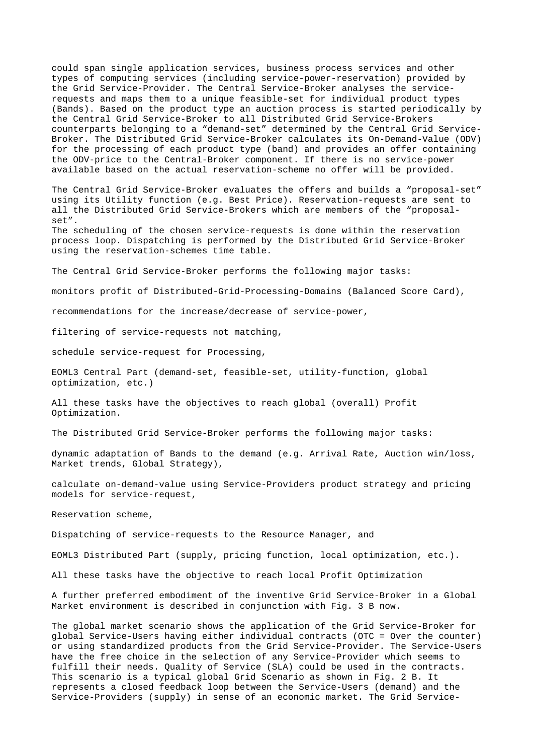could span single application services, business process services and other types of computing services (including service-power-reservation) provided by the Grid Service-Provider. The Central Service-Broker analyses the servicerequests and maps them to a unique feasible-set for individual product types (Bands). Based on the product type an auction process is started periodically by the Central Grid Service-Broker to all Distributed Grid Service-Brokers counterparts belonging to a "demand-set" determined by the Central Grid Service-Broker. The Distributed Grid Service-Broker calculates its On-Demand-Value (ODV) for the processing of each product type (band) and provides an offer containing the ODV-price to the Central-Broker component. If there is no service-power available based on the actual reservation-scheme no offer will be provided.

The Central Grid Service-Broker evaluates the offers and builds a "proposal-set" using its Utility function (e.g. Best Price). Reservation-requests are sent to all the Distributed Grid Service-Brokers which are members of the "proposalset".

The scheduling of the chosen service-requests is done within the reservation process loop. Dispatching is performed by the Distributed Grid Service-Broker using the reservation-schemes time table.

The Central Grid Service-Broker performs the following major tasks:

monitors profit of Distributed-Grid-Processing-Domains (Balanced Score Card),

recommendations for the increase/decrease of service-power,

filtering of service-requests not matching,

schedule service-request for Processing,

EOML3 Central Part (demand-set, feasible-set, utility-function, global optimization, etc.)

All these tasks have the objectives to reach global (overall) Profit Optimization.

The Distributed Grid Service-Broker performs the following major tasks:

dynamic adaptation of Bands to the demand (e.g. Arrival Rate, Auction win/loss, Market trends, Global Strategy),

calculate on-demand-value using Service-Providers product strategy and pricing models for service-request,

Reservation scheme,

Dispatching of service-requests to the Resource Manager, and

EOML3 Distributed Part (supply, pricing function, local optimization, etc.).

All these tasks have the objective to reach local Profit Optimization

A further preferred embodiment of the inventive Grid Service-Broker in a Global Market environment is described in conjunction with Fig. 3 B now.

The global market scenario shows the application of the Grid Service-Broker for global Service-Users having either individual contracts (OTC = Over the counter) or using standardized products from the Grid Service-Provider. The Service-Users have the free choice in the selection of any Service-Provider which seems to fulfill their needs. Quality of Service (SLA) could be used in the contracts. This scenario is a typical global Grid Scenario as shown in Fig. 2 B. It represents a closed feedback loop between the Service-Users (demand) and the Service-Providers (supply) in sense of an economic market. The Grid Service-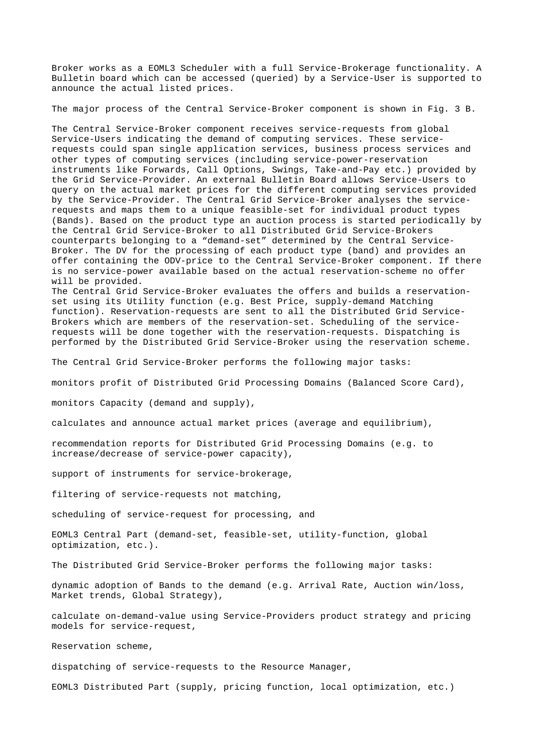Broker works as a EOML3 Scheduler with a full Service-Brokerage functionality. A Bulletin board which can be accessed (queried) by a Service-User is supported to announce the actual listed prices.

The major process of the Central Service-Broker component is shown in Fig. 3 B.

The Central Service-Broker component receives service-requests from global Service-Users indicating the demand of computing services. These servicerequests could span single application services, business process services and other types of computing services (including service-power-reservation instruments like Forwards, Call Options, Swings, Take-and-Pay etc.) provided by the Grid Service-Provider. An external Bulletin Board allows Service-Users to query on the actual market prices for the different computing services provided by the Service-Provider. The Central Grid Service-Broker analyses the servicerequests and maps them to a unique feasible-set for individual product types (Bands). Based on the product type an auction process is started periodically by the Central Grid Service-Broker to all Distributed Grid Service-Brokers counterparts belonging to a "demand-set" determined by the Central Service-Broker. The DV for the processing of each product type (band) and provides an offer containing the ODV-price to the Central Service-Broker component. If there is no service-power available based on the actual reservation-scheme no offer will be provided.

The Central Grid Service-Broker evaluates the offers and builds a reservationset using its Utility function (e.g. Best Price, supply-demand Matching function). Reservation-requests are sent to all the Distributed Grid Service-Brokers which are members of the reservation-set. Scheduling of the servicerequests will be done together with the reservation-requests. Dispatching is performed by the Distributed Grid Service-Broker using the reservation scheme.

The Central Grid Service-Broker performs the following major tasks:

monitors profit of Distributed Grid Processing Domains (Balanced Score Card),

monitors Capacity (demand and supply),

calculates and announce actual market prices (average and equilibrium),

recommendation reports for Distributed Grid Processing Domains (e.g. to increase/decrease of service-power capacity),

support of instruments for service-brokerage,

filtering of service-requests not matching,

scheduling of service-request for processing, and

EOML3 Central Part (demand-set, feasible-set, utility-function, global optimization, etc.).

The Distributed Grid Service-Broker performs the following major tasks:

dynamic adoption of Bands to the demand (e.g. Arrival Rate, Auction win/loss, Market trends, Global Strategy),

calculate on-demand-value using Service-Providers product strategy and pricing models for service-request,

Reservation scheme,

dispatching of service-requests to the Resource Manager,

EOML3 Distributed Part (supply, pricing function, local optimization, etc.)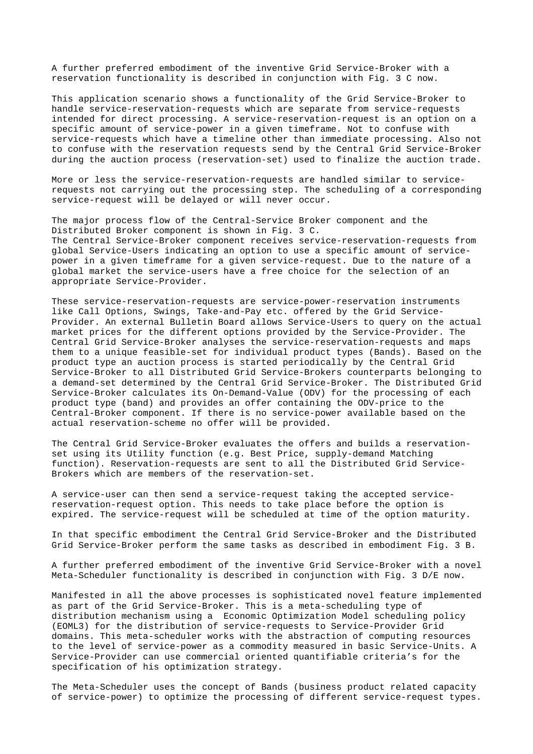A further preferred embodiment of the inventive Grid Service-Broker with a reservation functionality is described in conjunction with Fig. 3 C now.

This application scenario shows a functionality of the Grid Service-Broker to handle service-reservation-requests which are separate from service-requests intended for direct processing. A service-reservation-request is an option on a specific amount of service-power in a given timeframe. Not to confuse with service-requests which have a timeline other than immediate processing. Also not to confuse with the reservation requests send by the Central Grid Service-Broker during the auction process (reservation-set) used to finalize the auction trade.

More or less the service-reservation-requests are handled similar to servicerequests not carrying out the processing step. The scheduling of a corresponding service-request will be delayed or will never occur.

The major process flow of the Central-Service Broker component and the Distributed Broker component is shown in Fig. 3 C. The Central Service-Broker component receives service-reservation-requests from global Service-Users indicating an option to use a specific amount of servicepower in a given timeframe for a given service-request. Due to the nature of a global market the service-users have a free choice for the selection of an appropriate Service-Provider.

These service-reservation-requests are service-power-reservation instruments like Call Options, Swings, Take-and-Pay etc. offered by the Grid Service-Provider. An external Bulletin Board allows Service-Users to query on the actual market prices for the different options provided by the Service-Provider. The Central Grid Service-Broker analyses the service-reservation-requests and maps them to a unique feasible-set for individual product types (Bands). Based on the product type an auction process is started periodically by the Central Grid Service-Broker to all Distributed Grid Service-Brokers counterparts belonging to a demand-set determined by the Central Grid Service-Broker. The Distributed Grid Service-Broker calculates its On-Demand-Value (ODV) for the processing of each product type (band) and provides an offer containing the ODV-price to the Central-Broker component. If there is no service-power available based on the actual reservation-scheme no offer will be provided.

The Central Grid Service-Broker evaluates the offers and builds a reservationset using its Utility function (e.g. Best Price, supply-demand Matching function). Reservation-requests are sent to all the Distributed Grid Service-Brokers which are members of the reservation-set.

A service-user can then send a service-request taking the accepted servicereservation-request option. This needs to take place before the option is expired. The service-request will be scheduled at time of the option maturity.

In that specific embodiment the Central Grid Service-Broker and the Distributed Grid Service-Broker perform the same tasks as described in embodiment Fig. 3 B.

A further preferred embodiment of the inventive Grid Service-Broker with a novel Meta-Scheduler functionality is described in conjunction with Fig. 3 D/E now.

Manifested in all the above processes is sophisticated novel feature implemented as part of the Grid Service-Broker. This is a meta-scheduling type of distribution mechanism using a Economic Optimization Model scheduling policy (EOML3) for the distribution of service-requests to Service-Provider Grid domains. This meta-scheduler works with the abstraction of computing resources to the level of service-power as a commodity measured in basic Service-Units. A Service-Provider can use commercial oriented quantifiable criteria's for the specification of his optimization strategy.

The Meta-Scheduler uses the concept of Bands (business product related capacity of service-power) to optimize the processing of different service-request types.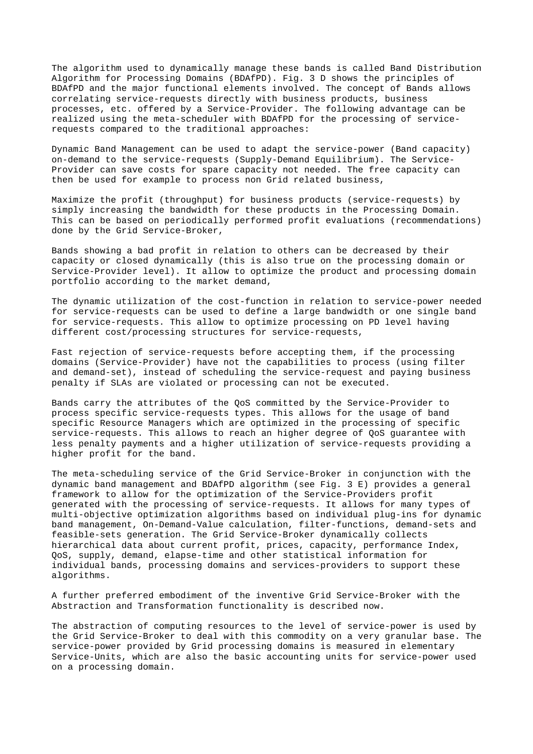The algorithm used to dynamically manage these bands is called Band Distribution Algorithm for Processing Domains (BDAfPD). Fig. 3 D shows the principles of BDAfPD and the major functional elements involved. The concept of Bands allows correlating service-requests directly with business products, business processes, etc. offered by a Service-Provider. The following advantage can be realized using the meta-scheduler with BDAfPD for the processing of servicerequests compared to the traditional approaches:

Dynamic Band Management can be used to adapt the service-power (Band capacity) on-demand to the service-requests (Supply-Demand Equilibrium). The Service-Provider can save costs for spare capacity not needed. The free capacity can then be used for example to process non Grid related business,

Maximize the profit (throughput) for business products (service-requests) by simply increasing the bandwidth for these products in the Processing Domain. This can be based on periodically performed profit evaluations (recommendations) done by the Grid Service-Broker,

Bands showing a bad profit in relation to others can be decreased by their capacity or closed dynamically (this is also true on the processing domain or Service-Provider level). It allow to optimize the product and processing domain portfolio according to the market demand,

The dynamic utilization of the cost-function in relation to service-power needed for service-requests can be used to define a large bandwidth or one single band for service-requests. This allow to optimize processing on PD level having different cost/processing structures for service-requests,

Fast rejection of service-requests before accepting them, if the processing domains (Service-Provider) have not the capabilities to process (using filter and demand-set), instead of scheduling the service-request and paying business penalty if SLAs are violated or processing can not be executed.

Bands carry the attributes of the QoS committed by the Service-Provider to process specific service-requests types. This allows for the usage of band specific Resource Managers which are optimized in the processing of specific service-requests. This allows to reach an higher degree of QoS guarantee with less penalty payments and a higher utilization of service-requests providing a higher profit for the band.

The meta-scheduling service of the Grid Service-Broker in conjunction with the dynamic band management and BDAfPD algorithm (see Fig. 3 E) provides a general framework to allow for the optimization of the Service-Providers profit generated with the processing of service-requests. It allows for many types of multi-objective optimization algorithms based on individual plug-ins for dynamic band management, On-Demand-Value calculation, filter-functions, demand-sets and feasible-sets generation. The Grid Service-Broker dynamically collects hierarchical data about current profit, prices, capacity, performance Index, QoS, supply, demand, elapse-time and other statistical information for individual bands, processing domains and services-providers to support these algorithms.

A further preferred embodiment of the inventive Grid Service-Broker with the Abstraction and Transformation functionality is described now.

The abstraction of computing resources to the level of service-power is used by the Grid Service-Broker to deal with this commodity on a very granular base. The service-power provided by Grid processing domains is measured in elementary Service-Units, which are also the basic accounting units for service-power used on a processing domain.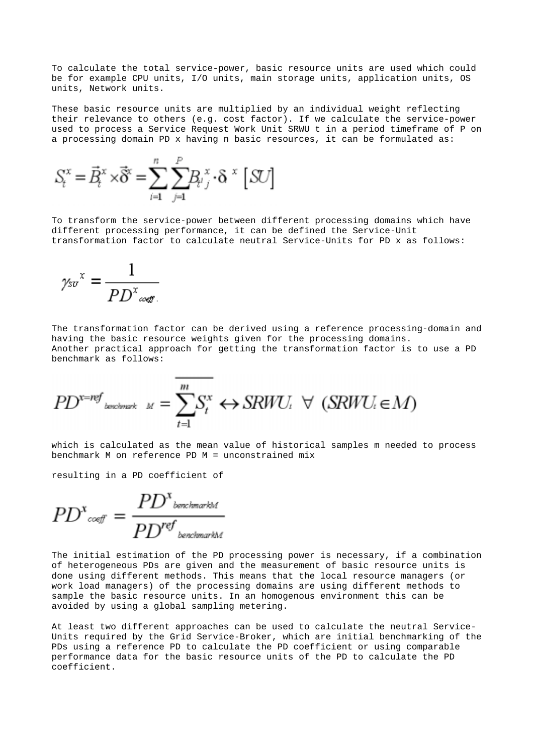To calculate the total service-power, basic resource units are used which could be for example CPU units, I/O units, main storage units, application units, OS units, Network units.

These basic resource units are multiplied by an individual weight reflecting their relevance to others (e.g. cost factor). If we calculate the service-power used to process a Service Request Work Unit SRWU t in a period timeframe of P on a processing domain PD x having n basic resources, it can be formulated as:

$$
S_t^x = \vec{B}_t^x \times \vec{\delta}^x = \sum_{i=1}^n \sum_{j=1}^p B_{t,j}^x \cdot \delta^x \, [\, S\!U]
$$

To transform the service-power between different processing domains which have different processing performance, it can be defined the Service-Unit transformation factor to calculate neutral Service-Units for PD x as follows:

$$
\gamma_{sv}{}^x = \frac{1}{PD^x{}_{\text{coeff.}}}
$$

The transformation factor can be derived using a reference processing-domain and having the basic resource weights given for the processing domains. Another practical approach for getting the transformation factor is to use a PD benchmark as follows:

$$
PD^{x=ref} \xrightarrow{\text{incobinant} M} = \overline{\sum_{t=1}^{m} S_t^x} \leftrightarrow SRWU_t \ \forall \ (SRWU_t \in M)
$$

an minimum

which is calculated as the mean value of historical samples m needed to process benchmark M on reference PD M = unconstrained mix

resulting in a PD coefficient of

$$
PD^{x_{\text{coeff}}} = \frac{PD^{x_{\text{boundary}kM}}}{PD^{ref_{\text{boundary}kM}}}
$$

The initial estimation of the PD processing power is necessary, if a combination of heterogeneous PDs are given and the measurement of basic resource units is done using different methods. This means that the local resource managers (or work load managers) of the processing domains are using different methods to sample the basic resource units. In an homogenous environment this can be avoided by using a global sampling metering.

At least two different approaches can be used to calculate the neutral Service-Units required by the Grid Service-Broker, which are initial benchmarking of the PDs using a reference PD to calculate the PD coefficient or using comparable performance data for the basic resource units of the PD to calculate the PD coefficient.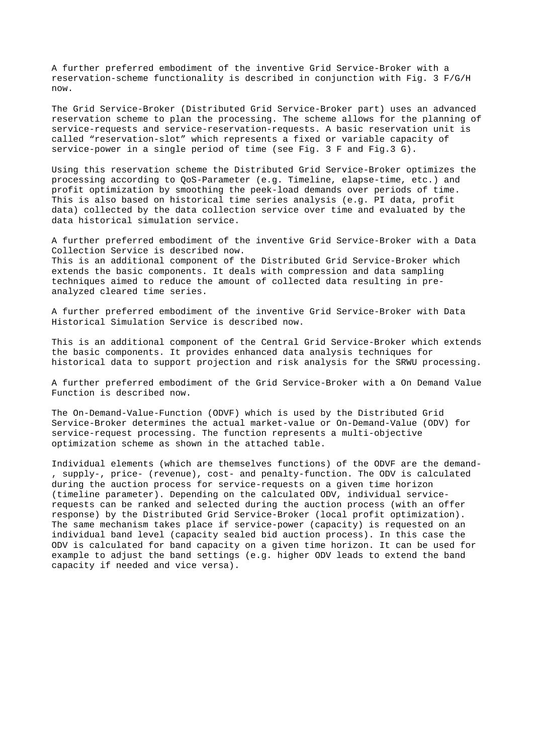A further preferred embodiment of the inventive Grid Service-Broker with a reservation-scheme functionality is described in conjunction with Fig. 3 F/G/H now.

The Grid Service-Broker (Distributed Grid Service-Broker part) uses an advanced reservation scheme to plan the processing. The scheme allows for the planning of service-requests and service-reservation-requests. A basic reservation unit is called "reservation-slot" which represents a fixed or variable capacity of service-power in a single period of time (see Fig. 3 F and Fig.3 G).

Using this reservation scheme the Distributed Grid Service-Broker optimizes the processing according to QoS-Parameter (e.g. Timeline, elapse-time, etc.) and profit optimization by smoothing the peek-load demands over periods of time. This is also based on historical time series analysis (e.g. PI data, profit data) collected by the data collection service over time and evaluated by the data historical simulation service.

A further preferred embodiment of the inventive Grid Service-Broker with a Data Collection Service is described now. This is an additional component of the Distributed Grid Service-Broker which extends the basic components. It deals with compression and data sampling techniques aimed to reduce the amount of collected data resulting in preanalyzed cleared time series.

A further preferred embodiment of the inventive Grid Service-Broker with Data Historical Simulation Service is described now.

This is an additional component of the Central Grid Service-Broker which extends the basic components. It provides enhanced data analysis techniques for historical data to support projection and risk analysis for the SRWU processing.

A further preferred embodiment of the Grid Service-Broker with a On Demand Value Function is described now.

The On-Demand-Value-Function (ODVF) which is used by the Distributed Grid Service-Broker determines the actual market-value or On-Demand-Value (ODV) for service-request processing. The function represents a multi-objective optimization scheme as shown in the attached table.

Individual elements (which are themselves functions) of the ODVF are the demand- , supply-, price- (revenue), cost- and penalty-function. The ODV is calculated during the auction process for service-requests on a given time horizon (timeline parameter). Depending on the calculated ODV, individual servicerequests can be ranked and selected during the auction process (with an offer response) by the Distributed Grid Service-Broker (local profit optimization). The same mechanism takes place if service-power (capacity) is requested on an individual band level (capacity sealed bid auction process). In this case the ODV is calculated for band capacity on a given time horizon. It can be used for example to adjust the band settings (e.g. higher ODV leads to extend the band capacity if needed and vice versa).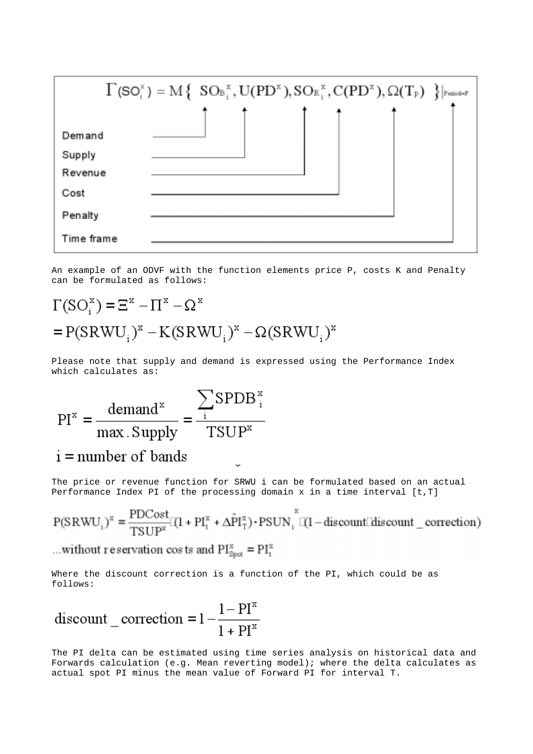

An example of an ODVF with the function elements price P, costs K and Penalty can be formulated as follows:

# $\Gamma(SO_i^x) = \Xi^x - \Pi^x - \Omega^x$  $= P(SRWU_i)^x - K(SRWU_i)^x - \Omega(SRWU_i)^x$

Please note that supply and demand is expressed using the Performance Index which calculates as:

 $PI^{x} = \frac{\text{demand}^{x}}{\text{max} \cdot \text{Supply}} = \frac{\sum_{i} SPDB^{x}}{\text{TSUP}^{x}}$  $i =$  number of bands

The price or revenue function for SRWU i can be formulated based on an actual Performance Index PI of the processing domain  $x$  in a time interval  $[t, T]$ 

$$
P(SRWU_i)^x = \frac{PDCost}{TSUP^x}[ (1 + PI_i^x + \Delta \hat{P}I_T^x) \cdot PSUN_i^x [ (1 - discount[] discount \_ correction)
$$

...without reservation costs and  $PI_{Spot}^x = PI_t^x$ 

Where the discount correction is a function of the PI, which could be as follows:

$$
discount\_correction = 1 - \frac{1 - PI^{x}}{1 + PI^{x}}
$$

The PI delta can be estimated using time series analysis on historical data and Forwards calculation (e.g. Mean reverting model); where the delta calculates as actual spot PI minus the mean value of Forward PI for interval T.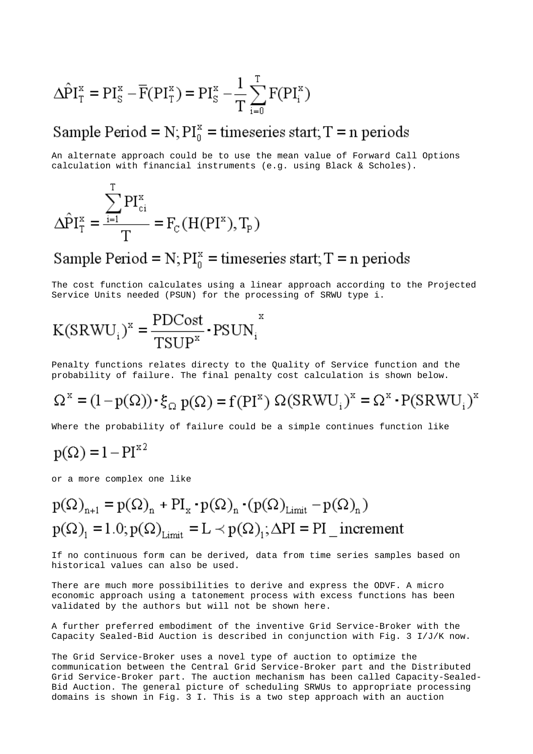$$
\Delta \hat{P} I_T^x = PI_S^x - \overline{F}(PI_T^x) = PI_S^x - \frac{1}{T} \sum_{i=0}^T F(PI_i^x)
$$

## Sample Period =  $N$ ;  $PI_0^x$  = timeseries start; T = n periods

An alternate approach could be to use the mean value of Forward Call Options calculation with financial instruments (e.g. using Black & Scholes).

$$
\Delta \hat{P} I_T^x = \frac{\sum_{i=1}^I P I_{ci}^x}{T} = F_c(H(PI^x), T_p)
$$

 $\mathbf{r}$ 

## Sample Period =  $N$ ;  $PI_n^x$  = timeseries start; T = n periods

The cost function calculates using a linear approach according to the Projected Service Units needed (PSUN) for the processing of SRWU type i.

$$
K(SRWU_i)^{x} = \frac{PDCost}{TSUP^{x}} \cdot PSUN_i^{x}
$$

Penalty functions relates directy to the Quality of Service function and the probability of failure. The final penalty cost calculation is shown below.

$$
\Omega^{\mathbf{x}} = (1 - p(\Omega)) \cdot \xi_{\Omega} \mathbf{p}(\Omega) = \mathbf{f}(\mathbf{P}\mathbf{I}^{\mathbf{x}}) \Omega(\mathbf{SRW}\mathbf{U}_{i})^{\mathbf{x}} = \Omega^{\mathbf{x}} \cdot \mathbf{P}(\mathbf{SRW}\mathbf{U}_{i})^{\mathbf{x}}
$$

Where the probability of failure could be a simple continues function like

## $p(\Omega) = 1 - PI^{x^2}$

or a more complex one like

$$
p(\Omega)_{n+1} = p(\Omega)_n + PI_x \cdot p(\Omega)_n \cdot (p(\Omega)_{Limit} - p(\Omega)_n)
$$
  

$$
p(\Omega)_1 = 1.0; p(\Omega)_{Limit} = L \prec p(\Omega)_1; \Delta PI = PI\_increment
$$

If no continuous form can be derived, data from time series samples based on historical values can also be used.

There are much more possibilities to derive and express the ODVF. A micro economic approach using a tatonement process with excess functions has been validated by the authors but will not be shown here.

A further preferred embodiment of the inventive Grid Service-Broker with the Capacity Sealed-Bid Auction is described in conjunction with Fig. 3 I/J/K now.

The Grid Service-Broker uses a novel type of auction to optimize the communication between the Central Grid Service-Broker part and the Distributed Grid Service-Broker part. The auction mechanism has been called Capacity-Sealed-Bid Auction. The general picture of scheduling SRWUs to appropriate processing domains is shown in Fig. 3 I. This is a two step approach with an auction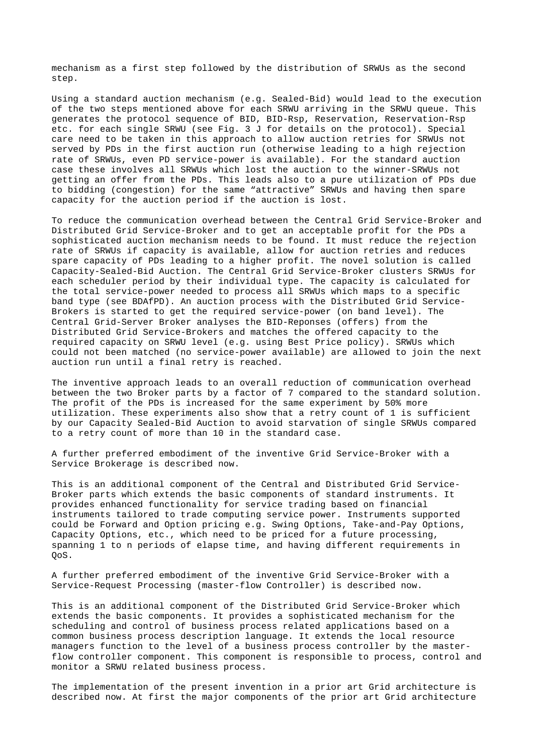mechanism as a first step followed by the distribution of SRWUs as the second step.

Using a standard auction mechanism (e.g. Sealed-Bid) would lead to the execution of the two steps mentioned above for each SRWU arriving in the SRWU queue. This generates the protocol sequence of BID, BID-Rsp, Reservation, Reservation-Rsp etc. for each single SRWU (see Fig. 3 J for details on the protocol). Special care need to be taken in this approach to allow auction retries for SRWUs not served by PDs in the first auction run (otherwise leading to a high rejection rate of SRWUs, even PD service-power is available). For the standard auction case these involves all SRWUs which lost the auction to the winner-SRWUs not getting an offer from the PDs. This leads also to a pure utilization of PDs due to bidding (congestion) for the same "attractive" SRWUs and having then spare capacity for the auction period if the auction is lost.

To reduce the communication overhead between the Central Grid Service-Broker and Distributed Grid Service-Broker and to get an acceptable profit for the PDs a sophisticated auction mechanism needs to be found. It must reduce the rejection rate of SRWUs if capacity is available, allow for auction retries and reduces spare capacity of PDs leading to a higher profit. The novel solution is called Capacity-Sealed-Bid Auction. The Central Grid Service-Broker clusters SRWUs for each scheduler period by their individual type. The capacity is calculated for the total service-power needed to process all SRWUs which maps to a specific band type (see BDAfPD). An auction process with the Distributed Grid Service-Brokers is started to get the required service-power (on band level). The Central Grid-Server Broker analyses the BID-Reponses (offers) from the Distributed Grid Service-Brokers and matches the offered capacity to the required capacity on SRWU level (e.g. using Best Price policy). SRWUs which could not been matched (no service-power available) are allowed to join the next auction run until a final retry is reached.

The inventive approach leads to an overall reduction of communication overhead between the two Broker parts by a factor of 7 compared to the standard solution. The profit of the PDs is increased for the same experiment by 50% more utilization. These experiments also show that a retry count of 1 is sufficient by our Capacity Sealed-Bid Auction to avoid starvation of single SRWUs compared to a retry count of more than 10 in the standard case.

A further preferred embodiment of the inventive Grid Service-Broker with a Service Brokerage is described now.

This is an additional component of the Central and Distributed Grid Service-Broker parts which extends the basic components of standard instruments. It provides enhanced functionality for service trading based on financial instruments tailored to trade computing service power. Instruments supported could be Forward and Option pricing e.g. Swing Options, Take-and-Pay Options, Capacity Options, etc., which need to be priced for a future processing, spanning 1 to n periods of elapse time, and having different requirements in QoS.

A further preferred embodiment of the inventive Grid Service-Broker with a Service-Request Processing (master-flow Controller) is described now.

This is an additional component of the Distributed Grid Service-Broker which extends the basic components. It provides a sophisticated mechanism for the scheduling and control of business process related applications based on a common business process description language. It extends the local resource managers function to the level of a business process controller by the masterflow controller component. This component is responsible to process, control and monitor a SRWU related business process.

The implementation of the present invention in a prior art Grid architecture is described now. At first the major components of the prior art Grid architecture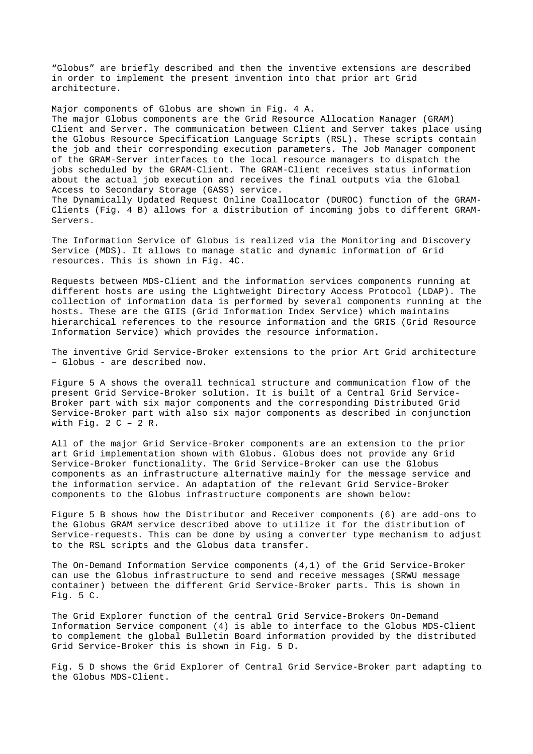"Globus" are briefly described and then the inventive extensions are described in order to implement the present invention into that prior art Grid architecture.

Major components of Globus are shown in Fig. 4 A. The major Globus components are the Grid Resource Allocation Manager (GRAM) Client and Server. The communication between Client and Server takes place using the Globus Resource Specification Language Scripts (RSL). These scripts contain the job and their corresponding execution parameters. The Job Manager component of the GRAM-Server interfaces to the local resource managers to dispatch the jobs scheduled by the GRAM-Client. The GRAM-Client receives status information about the actual job execution and receives the final outputs via the Global Access to Secondary Storage (GASS) service. The Dynamically Updated Request Online Coallocator (DUROC) function of the GRAM-Clients (Fig. 4 B) allows for a distribution of incoming jobs to different GRAM-Servers.

The Information Service of Globus is realized via the Monitoring and Discovery Service (MDS). It allows to manage static and dynamic information of Grid resources. This is shown in Fig. 4C.

Requests between MDS-Client and the information services components running at different hosts are using the Lightweight Directory Access Protocol (LDAP). The collection of information data is performed by several components running at the hosts. These are the GIIS (Grid Information Index Service) which maintains hierarchical references to the resource information and the GRIS (Grid Resource Information Service) which provides the resource information.

The inventive Grid Service-Broker extensions to the prior Art Grid architecture – Globus - are described now.

Figure 5 A shows the overall technical structure and communication flow of the present Grid Service-Broker solution. It is built of a Central Grid Service-Broker part with six major components and the corresponding Distributed Grid Service-Broker part with also six major components as described in conjunction with Fig.  $2 C - 2 R$ .

All of the major Grid Service-Broker components are an extension to the prior art Grid implementation shown with Globus. Globus does not provide any Grid Service-Broker functionality. The Grid Service-Broker can use the Globus components as an infrastructure alternative mainly for the message service and the information service. An adaptation of the relevant Grid Service-Broker components to the Globus infrastructure components are shown below:

Figure 5 B shows how the Distributor and Receiver components (6) are add-ons to the Globus GRAM service described above to utilize it for the distribution of Service-requests. This can be done by using a converter type mechanism to adjust to the RSL scripts and the Globus data transfer.

The On-Demand Information Service components (4,1) of the Grid Service-Broker can use the Globus infrastructure to send and receive messages (SRWU message container) between the different Grid Service-Broker parts. This is shown in Fig. 5 C.

The Grid Explorer function of the central Grid Service-Brokers On-Demand Information Service component (4) is able to interface to the Globus MDS-Client to complement the global Bulletin Board information provided by the distributed Grid Service-Broker this is shown in Fig. 5 D.

Fig. 5 D shows the Grid Explorer of Central Grid Service-Broker part adapting to the Globus MDS-Client.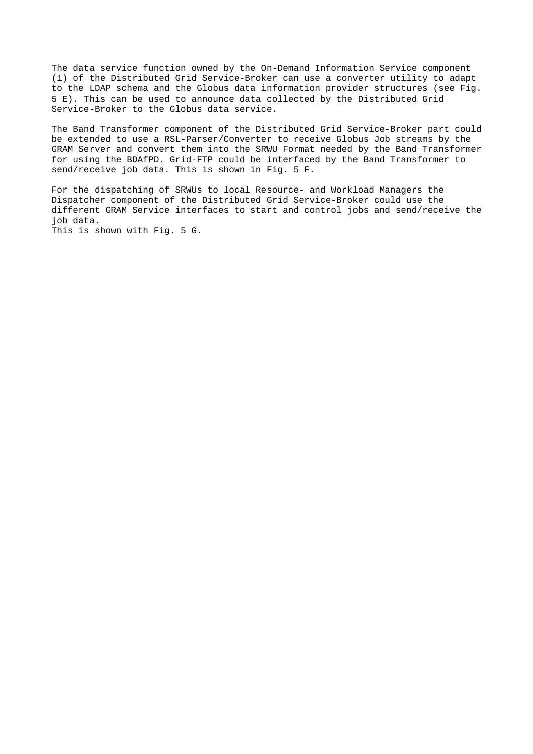The data service function owned by the On-Demand Information Service component (1) of the Distributed Grid Service-Broker can use a converter utility to adapt to the LDAP schema and the Globus data information provider structures (see Fig. 5 E). This can be used to announce data collected by the Distributed Grid Service-Broker to the Globus data service.

The Band Transformer component of the Distributed Grid Service-Broker part could be extended to use a RSL-Parser/Converter to receive Globus Job streams by the GRAM Server and convert them into the SRWU Format needed by the Band Transformer for using the BDAfPD. Grid-FTP could be interfaced by the Band Transformer to send/receive job data. This is shown in Fig. 5 F.

For the dispatching of SRWUs to local Resource- and Workload Managers the Dispatcher component of the Distributed Grid Service-Broker could use the different GRAM Service interfaces to start and control jobs and send/receive the job data.

This is shown with Fig. 5 G.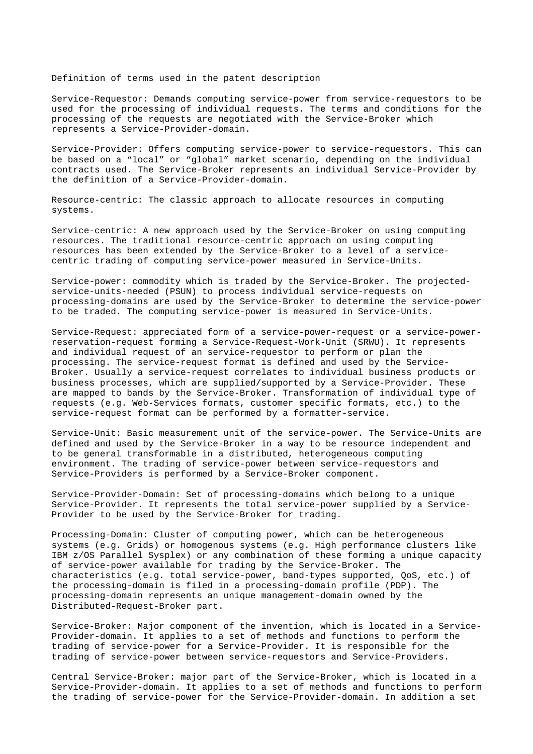Definition of terms used in the patent description

Service-Requestor: Demands computing service-power from service-requestors to be used for the processing of individual requests. The terms and conditions for the processing of the requests are negotiated with the Service-Broker which represents a Service-Provider-domain.

Service-Provider: Offers computing service-power to service-requestors. This can be based on a "local" or "global" market scenario, depending on the individual contracts used. The Service-Broker represents an individual Service-Provider by the definition of a Service-Provider-domain.

Resource-centric: The classic approach to allocate resources in computing systems.

Service-centric: A new approach used by the Service-Broker on using computing resources. The traditional resource-centric approach on using computing resources has been extended by the Service-Broker to a level of a servicecentric trading of computing service-power measured in Service-Units.

Service-power: commodity which is traded by the Service-Broker. The projectedservice-units-needed (PSUN) to process individual service-requests on processing-domains are used by the Service-Broker to determine the service-power to be traded. The computing service-power is measured in Service-Units.

Service-Request: appreciated form of a service-power-request or a service-powerreservation-request forming a Service-Request-Work-Unit (SRWU). It represents and individual request of an service-requestor to perform or plan the processing. The service-request format is defined and used by the Service-Broker. Usually a service-request correlates to individual business products or business processes, which are supplied/supported by a Service-Provider. These are mapped to bands by the Service-Broker. Transformation of individual type of requests (e.g. Web-Services formats, customer specific formats, etc.) to the service-request format can be performed by a formatter-service.

Service-Unit: Basic measurement unit of the service-power. The Service-Units are defined and used by the Service-Broker in a way to be resource independent and to be general transformable in a distributed, heterogeneous computing environment. The trading of service-power between service-requestors and Service-Providers is performed by a Service-Broker component.

Service-Provider-Domain: Set of processing-domains which belong to a unique Service-Provider. It represents the total service-power supplied by a Service-Provider to be used by the Service-Broker for trading.

Processing-Domain: Cluster of computing power, which can be heterogeneous systems (e.g. Grids) or homogenous systems (e.g. High performance clusters like IBM z/OS Parallel Sysplex) or any combination of these forming a unique capacity of service-power available for trading by the Service-Broker. The characteristics (e.g. total service-power, band-types supported, QoS, etc.) of the processing-domain is filed in a processing-domain profile (PDP). The processing-domain represents an unique management-domain owned by the Distributed-Request-Broker part.

Service-Broker: Major component of the invention, which is located in a Service-Provider-domain. It applies to a set of methods and functions to perform the trading of service-power for a Service-Provider. It is responsible for the trading of service-power between service-requestors and Service-Providers.

Central Service-Broker: major part of the Service-Broker, which is located in a Service-Provider-domain. It applies to a set of methods and functions to perform the trading of service-power for the Service-Provider-domain. In addition a set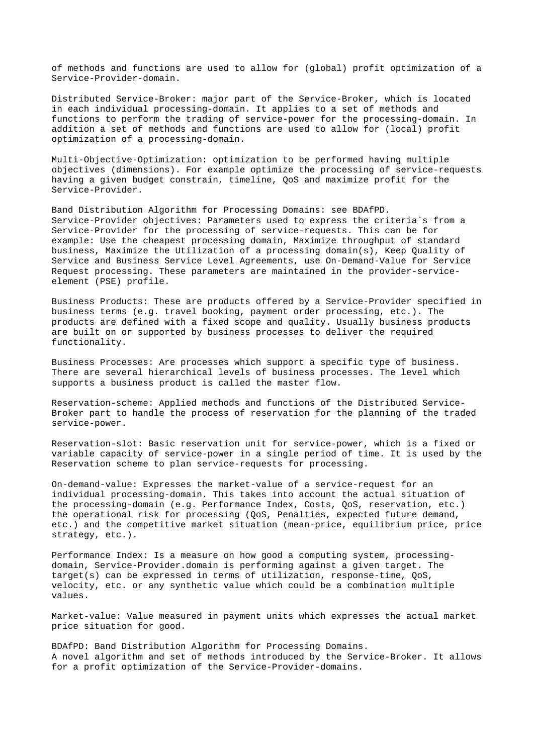of methods and functions are used to allow for (global) profit optimization of a Service-Provider-domain.

Distributed Service-Broker: major part of the Service-Broker, which is located in each individual processing-domain. It applies to a set of methods and functions to perform the trading of service-power for the processing-domain. In addition a set of methods and functions are used to allow for (local) profit optimization of a processing-domain.

Multi-Objective-Optimization: optimization to be performed having multiple objectives (dimensions). For example optimize the processing of service-requests having a given budget constrain, timeline, QoS and maximize profit for the Service-Provider.

Band Distribution Algorithm for Processing Domains: see BDAfPD. Service-Provider objectives: Parameters used to express the criteria`s from a Service-Provider for the processing of service-requests. This can be for example: Use the cheapest processing domain, Maximize throughput of standard business, Maximize the Utilization of a processing domain(s), Keep Quality of Service and Business Service Level Agreements, use On-Demand-Value for Service Request processing. These parameters are maintained in the provider-serviceelement (PSE) profile.

Business Products: These are products offered by a Service-Provider specified in business terms (e.g. travel booking, payment order processing, etc.). The products are defined with a fixed scope and quality. Usually business products are built on or supported by business processes to deliver the required functionality.

Business Processes: Are processes which support a specific type of business. There are several hierarchical levels of business processes. The level which supports a business product is called the master flow.

Reservation-scheme: Applied methods and functions of the Distributed Service-Broker part to handle the process of reservation for the planning of the traded service-power.

Reservation-slot: Basic reservation unit for service-power, which is a fixed or variable capacity of service-power in a single period of time. It is used by the Reservation scheme to plan service-requests for processing.

On-demand-value: Expresses the market-value of a service-request for an individual processing-domain. This takes into account the actual situation of the processing-domain (e.g. Performance Index, Costs, QoS, reservation, etc.) the operational risk for processing (QoS, Penalties, expected future demand, etc.) and the competitive market situation (mean-price, equilibrium price, price strategy, etc.).

Performance Index: Is a measure on how good a computing system, processingdomain, Service-Provider.domain is performing against a given target. The target(s) can be expressed in terms of utilization, response-time, QoS, velocity, etc. or any synthetic value which could be a combination multiple values.

Market-value: Value measured in payment units which expresses the actual market price situation for good.

BDAfPD: Band Distribution Algorithm for Processing Domains. A novel algorithm and set of methods introduced by the Service-Broker. It allows for a profit optimization of the Service-Provider-domains.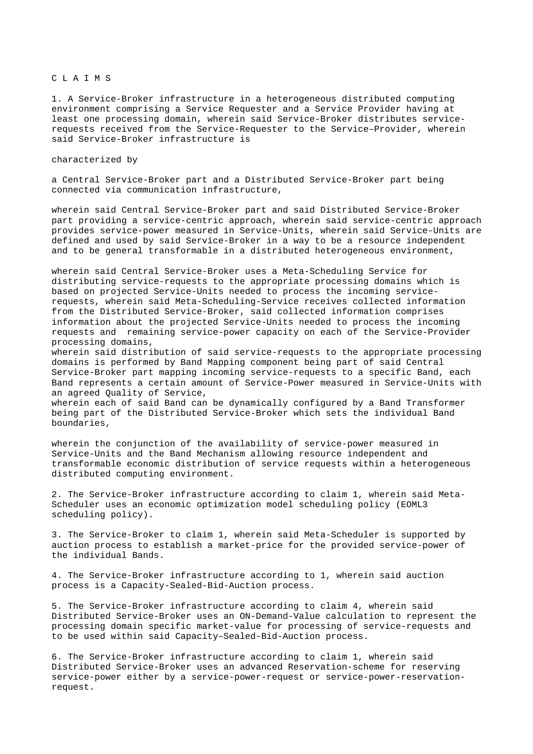### CLAIMS

1. A Service-Broker infrastructure in a heterogeneous distributed computing environment comprising a Service Requester and a Service Provider having at least one processing domain, wherein said Service-Broker distributes servicerequests received from the Service-Requester to the Service–Provider, wherein said Service-Broker infrastructure is

#### characterized by

a Central Service-Broker part and a Distributed Service-Broker part being connected via communication infrastructure,

wherein said Central Service-Broker part and said Distributed Service-Broker part providing a service-centric approach, wherein said service-centric approach provides service-power measured in Service-Units, wherein said Service-Units are defined and used by said Service-Broker in a way to be a resource independent and to be general transformable in a distributed heterogeneous environment,

wherein said Central Service-Broker uses a Meta-Scheduling Service for distributing service-requests to the appropriate processing domains which is based on projected Service-Units needed to process the incoming servicerequests, wherein said Meta-Scheduling-Service receives collected information from the Distributed Service-Broker, said collected information comprises information about the projected Service-Units needed to process the incoming requests and remaining service-power capacity on each of the Service-Provider processing domains,

wherein said distribution of said service-requests to the appropriate processing domains is performed by Band Mapping component being part of said Central Service-Broker part mapping incoming service-requests to a specific Band, each Band represents a certain amount of Service-Power measured in Service-Units with an agreed Quality of Service,

wherein each of said Band can be dynamically configured by a Band Transformer being part of the Distributed Service-Broker which sets the individual Band boundaries,

wherein the conjunction of the availability of service-power measured in Service-Units and the Band Mechanism allowing resource independent and transformable economic distribution of service requests within a heterogeneous distributed computing environment.

2. The Service-Broker infrastructure according to claim 1, wherein said Meta-Scheduler uses an economic optimization model scheduling policy (EOML3 scheduling policy).

3. The Service-Broker to claim 1, wherein said Meta-Scheduler is supported by auction process to establish a market-price for the provided service-power of the individual Bands.

4. The Service-Broker infrastructure according to 1, wherein said auction process is a Capacity-Sealed-Bid-Auction process.

5. The Service-Broker infrastructure according to claim 4, wherein said Distributed Service-Broker uses an ON-Demand-Value calculation to represent the processing domain specific market-value for processing of service-requests and to be used within said Capacity–Sealed-Bid-Auction process.

6. The Service-Broker infrastructure according to claim 1, wherein said Distributed Service-Broker uses an advanced Reservation-scheme for reserving service-power either by a service-power-request or service-power-reservationrequest.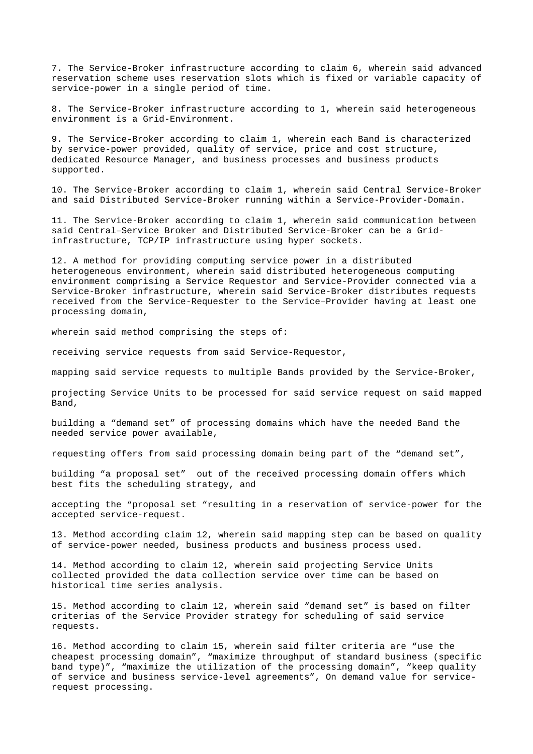7. The Service-Broker infrastructure according to claim 6, wherein said advanced reservation scheme uses reservation slots which is fixed or variable capacity of service-power in a single period of time.

8. The Service-Broker infrastructure according to 1, wherein said heterogeneous environment is a Grid-Environment.

9. The Service-Broker according to claim 1, wherein each Band is characterized by service-power provided, quality of service, price and cost structure, dedicated Resource Manager, and business processes and business products supported.

10. The Service-Broker according to claim 1, wherein said Central Service-Broker and said Distributed Service-Broker running within a Service-Provider-Domain.

11. The Service-Broker according to claim 1, wherein said communication between said Central–Service Broker and Distributed Service-Broker can be a Gridinfrastructure, TCP/IP infrastructure using hyper sockets.

12. A method for providing computing service power in a distributed heterogeneous environment, wherein said distributed heterogeneous computing environment comprising a Service Requestor and Service-Provider connected via a Service-Broker infrastructure, wherein said Service-Broker distributes requests received from the Service-Requester to the Service–Provider having at least one processing domain,

wherein said method comprising the steps of:

receiving service requests from said Service-Requestor,

mapping said service requests to multiple Bands provided by the Service-Broker,

projecting Service Units to be processed for said service request on said mapped Band,

building a "demand set" of processing domains which have the needed Band the needed service power available,

requesting offers from said processing domain being part of the "demand set",

building "a proposal set" out of the received processing domain offers which best fits the scheduling strategy, and

accepting the "proposal set "resulting in a reservation of service-power for the accepted service-request.

13. Method according claim 12, wherein said mapping step can be based on quality of service-power needed, business products and business process used.

14. Method according to claim 12, wherein said projecting Service Units collected provided the data collection service over time can be based on historical time series analysis.

15. Method according to claim 12, wherein said "demand set" is based on filter criterias of the Service Provider strategy for scheduling of said service requests.

16. Method according to claim 15, wherein said filter criteria are "use the cheapest processing domain", "maximize throughput of standard business (specific band type)", "maximize the utilization of the processing domain", "keep quality of service and business service-level agreements", On demand value for servicerequest processing.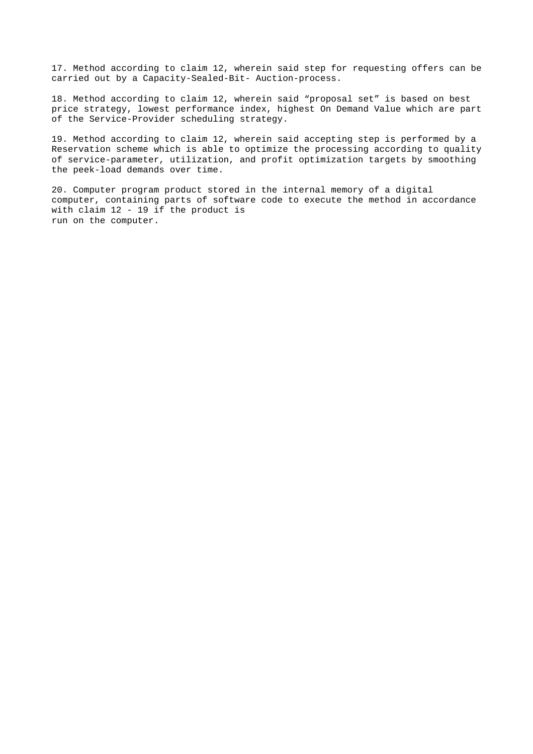17. Method according to claim 12, wherein said step for requesting offers can be carried out by a Capacity-Sealed-Bit- Auction-process.

18. Method according to claim 12, wherein said "proposal set" is based on best price strategy, lowest performance index, highest On Demand Value which are part of the Service-Provider scheduling strategy.

19. Method according to claim 12, wherein said accepting step is performed by a Reservation scheme which is able to optimize the processing according to quality of service-parameter, utilization, and profit optimization targets by smoothing the peek-load demands over time.

20. Computer program product stored in the internal memory of a digital computer, containing parts of software code to execute the method in accordance with claim 12 - 19 if the product is run on the computer.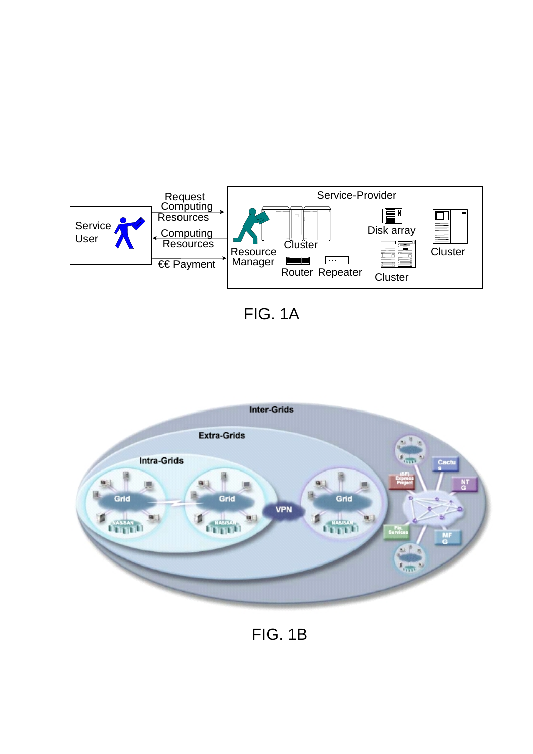

FIG. 1A



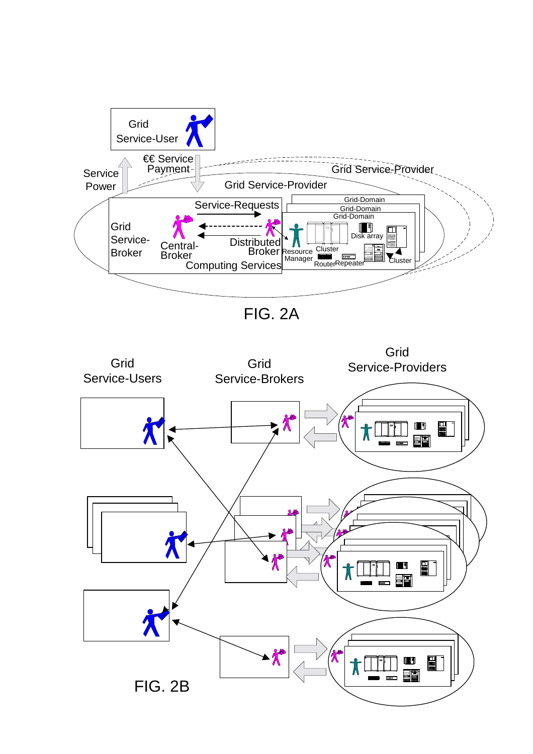

FIG. 2A

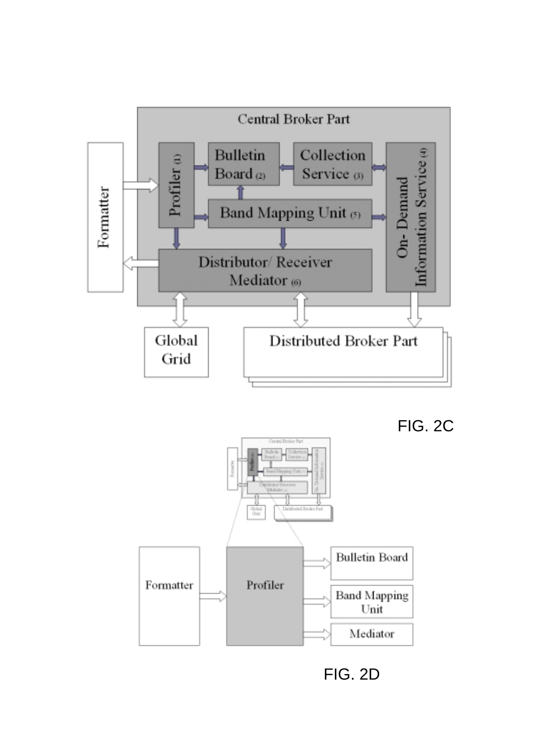

FIG. 2C



FIG. 2D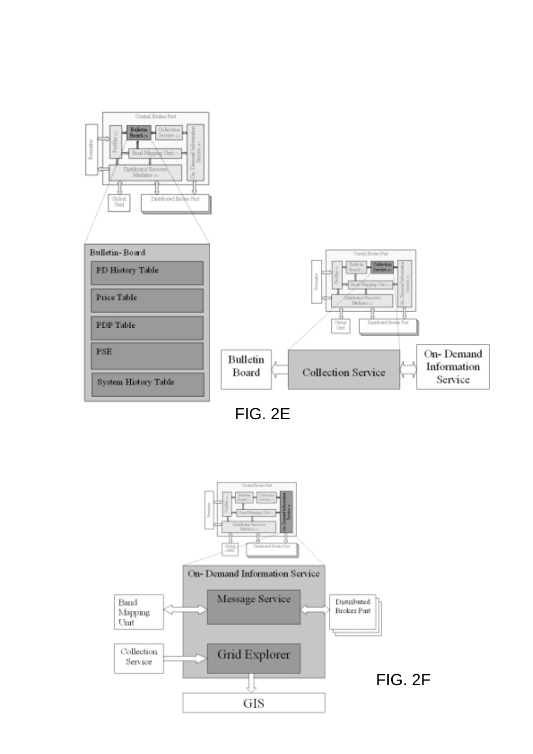

FIG. 2E

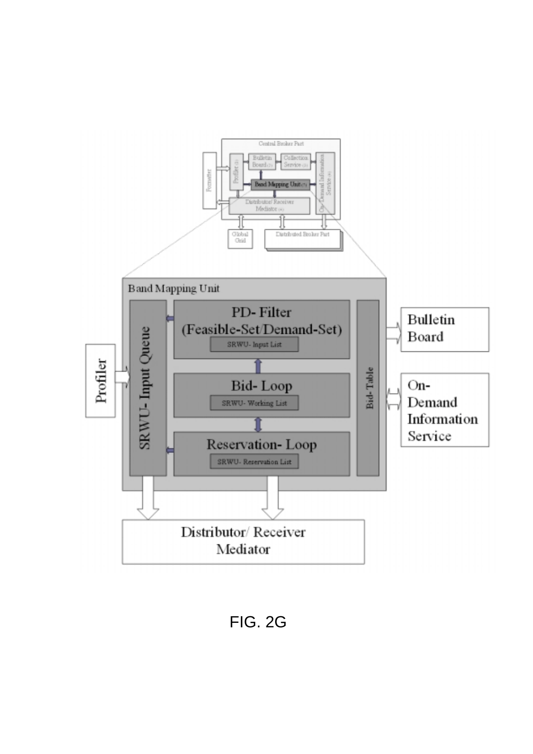

FIG. 2G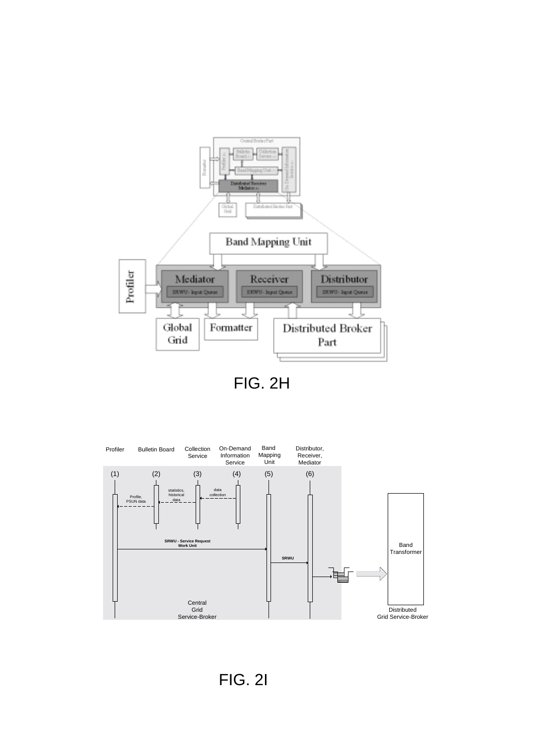

FIG. 2H



FIG. 2I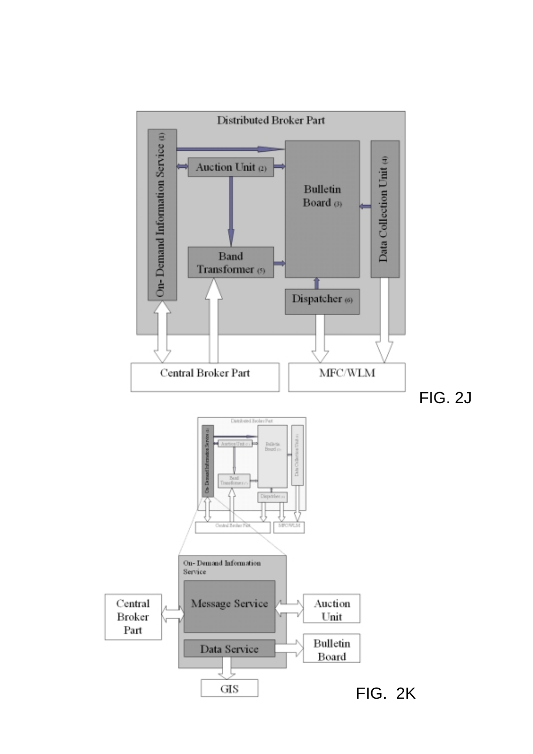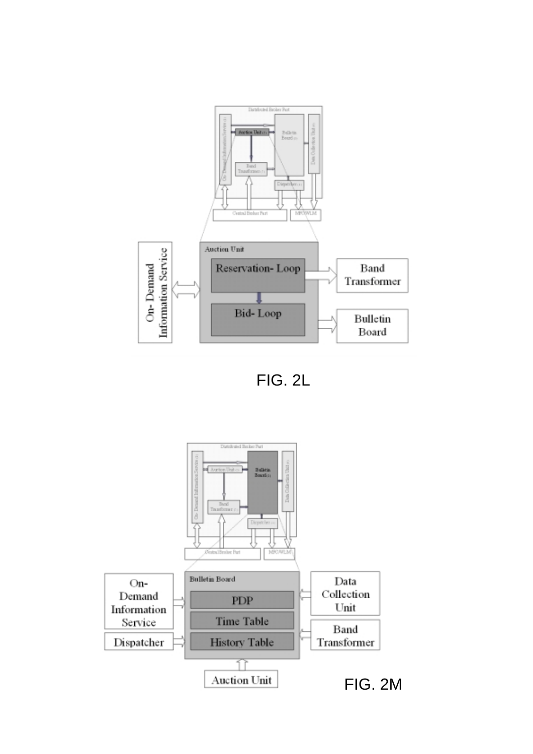

FIG. 2L

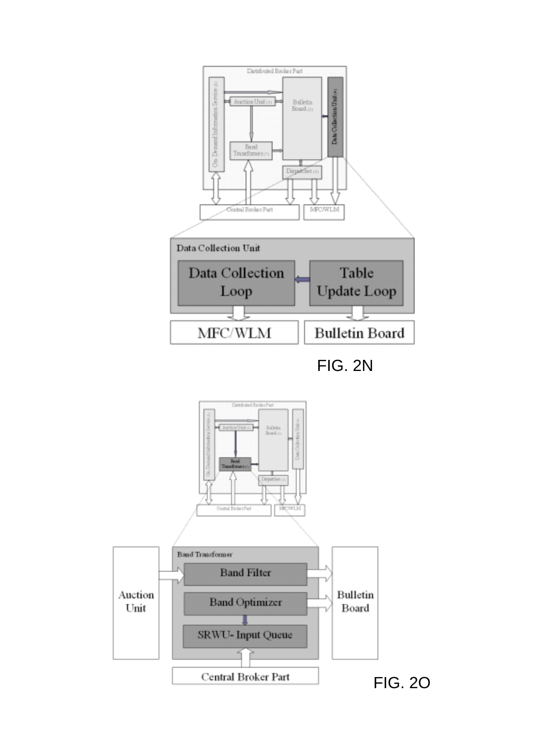

FIG. 2N

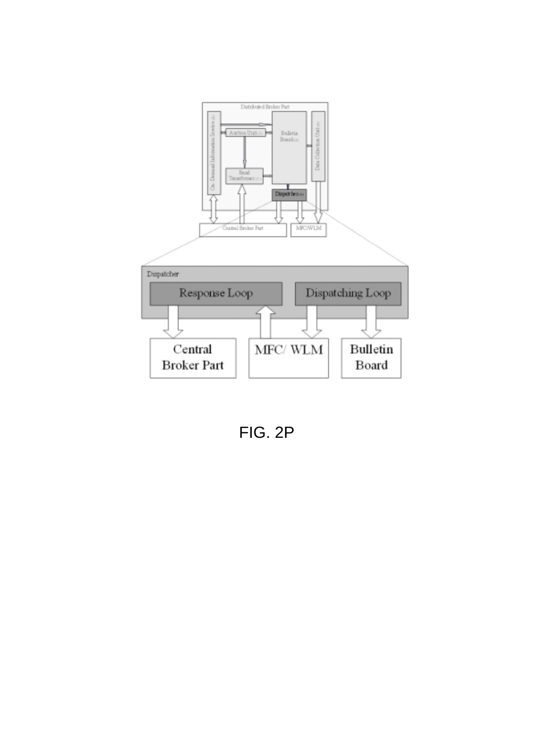

FIG. 2P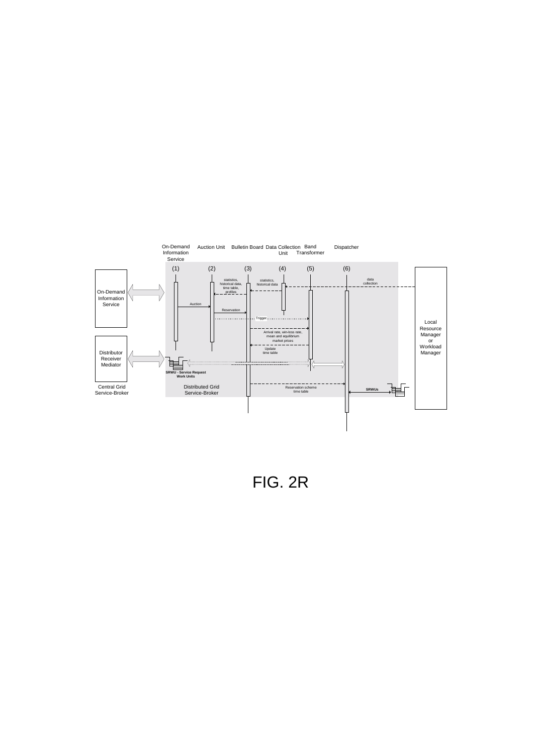

FIG. 2R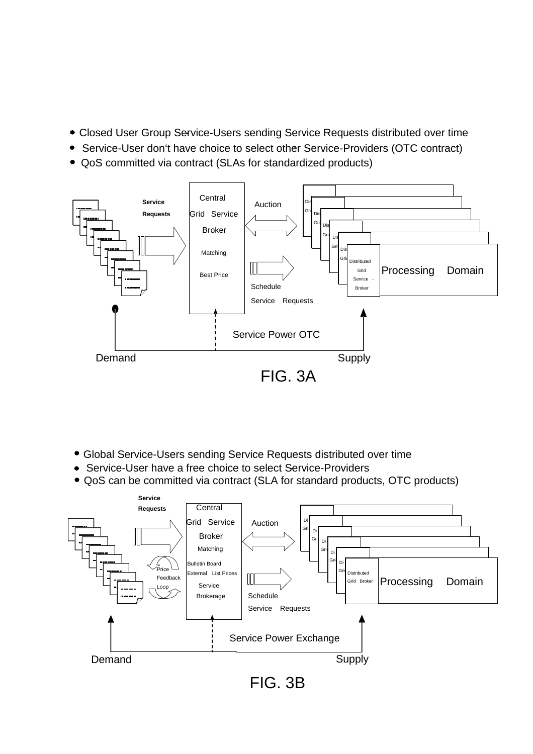- Closed User Group Service-Users sending Service Requests distributed over time -
- Service-User don't have choice to select other Service-Providers (OTC contract)
- QoS committed via contract (SLAs for standardized products)



- Global Service-Users sending Service Requests distributed over time
- Service-User have a free choice to select Service-Providers
- QoS can be committed via contract (SLA for standard products, OTC products)

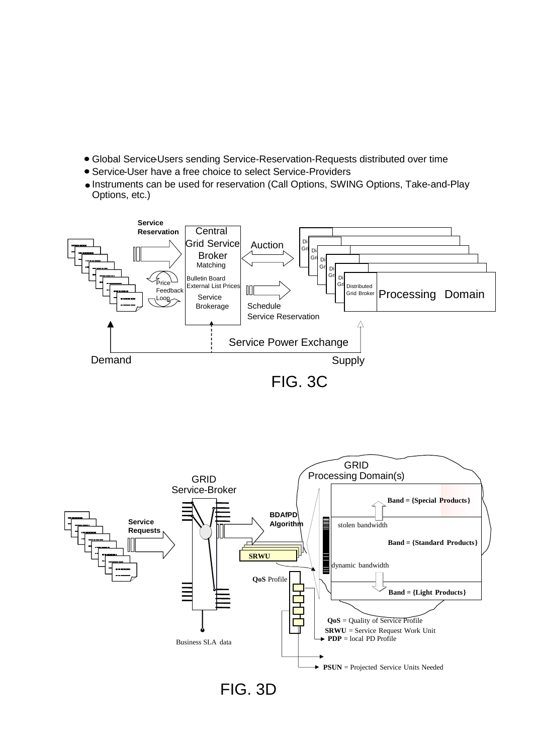- Global Service-Users sending Service-Reservation-Requests distributed over time
- Service-User have a free choice to select Service-Providers
- Instruments can be used for reservation (Call Options, SWING Options, Take-and-Play Options, etc.)



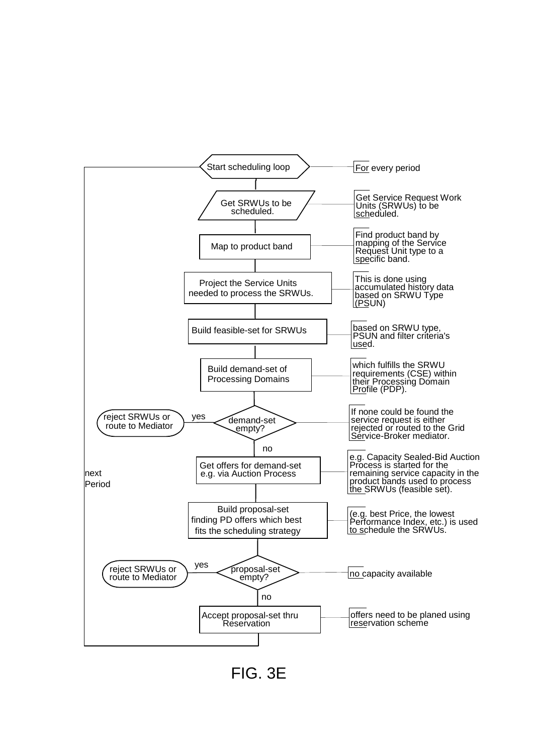

FIG. 3E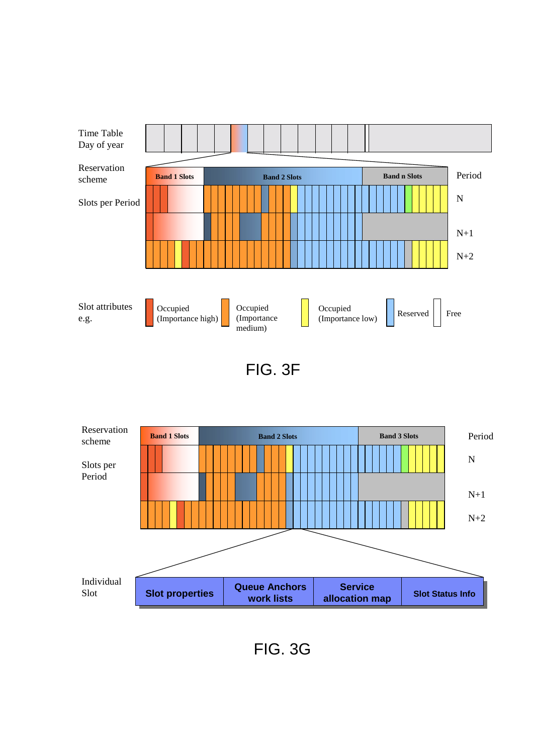





FIG. 3G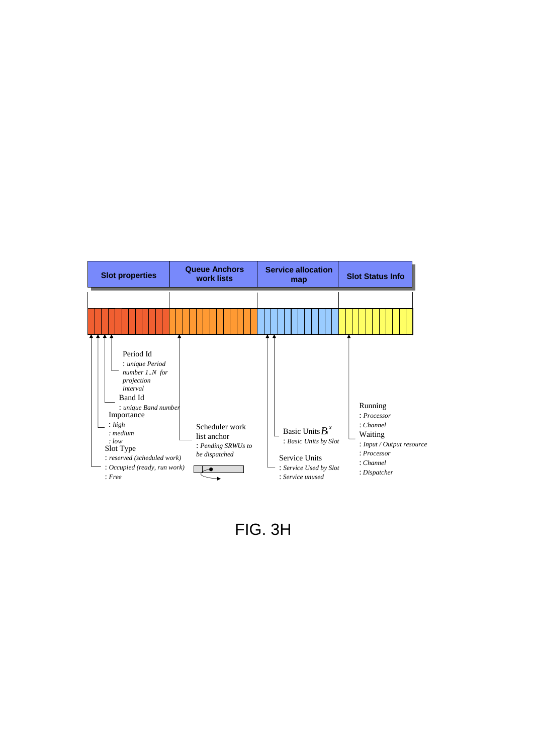

FIG. 3H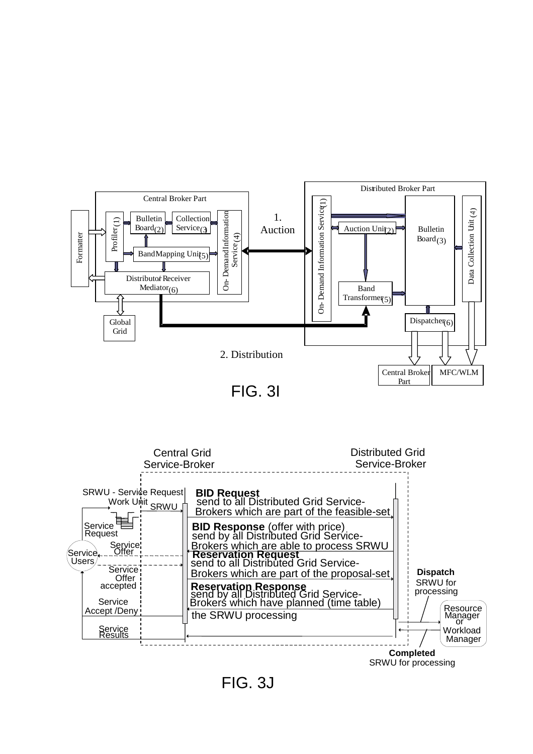

FIG. 3I



FIG. 3J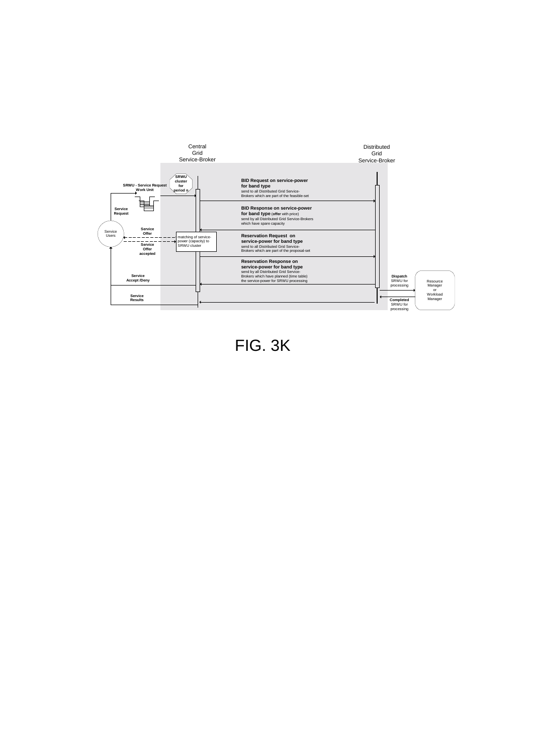

FIG. 3K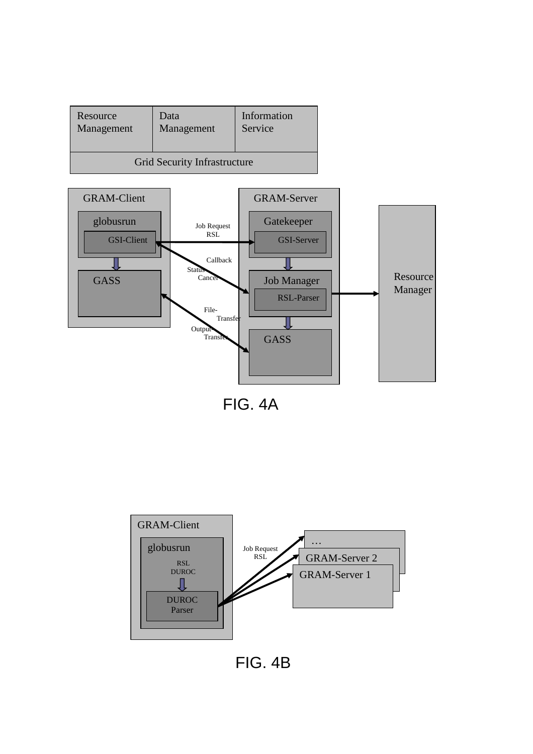| Resource                     | Data       | Information |
|------------------------------|------------|-------------|
| Management                   | Management | Service     |
| Grid Security Infrastructure |            |             |



FIG. 4A



FIG. 4B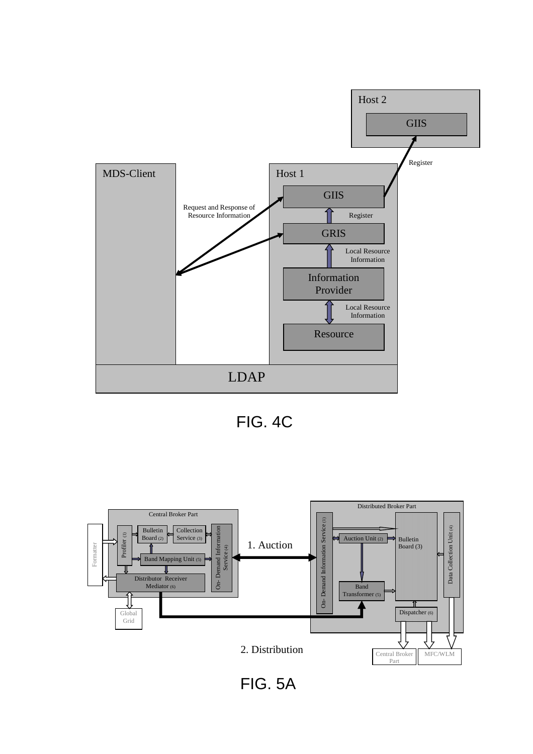

FIG. 4C



FIG. 5A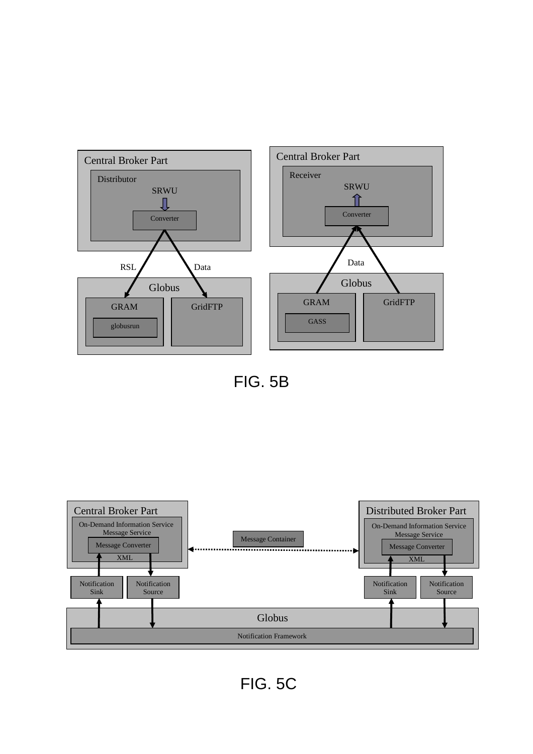

FIG. 5B



FIG. 5C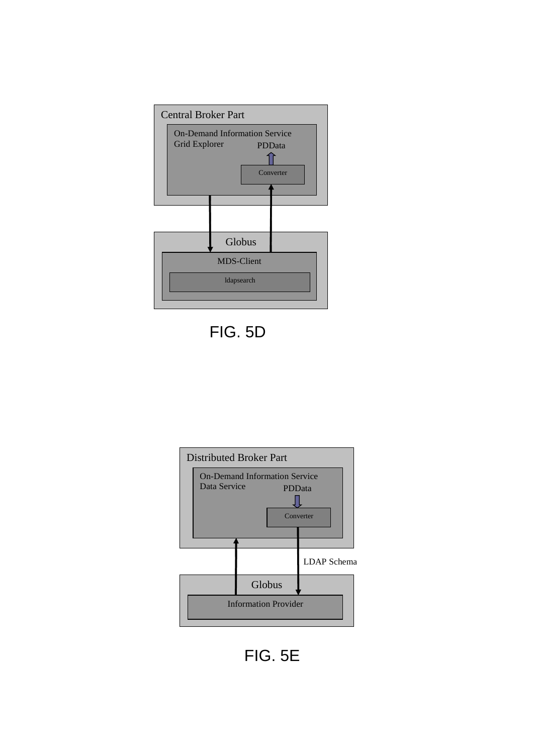

FIG. 5D



FIG. 5E